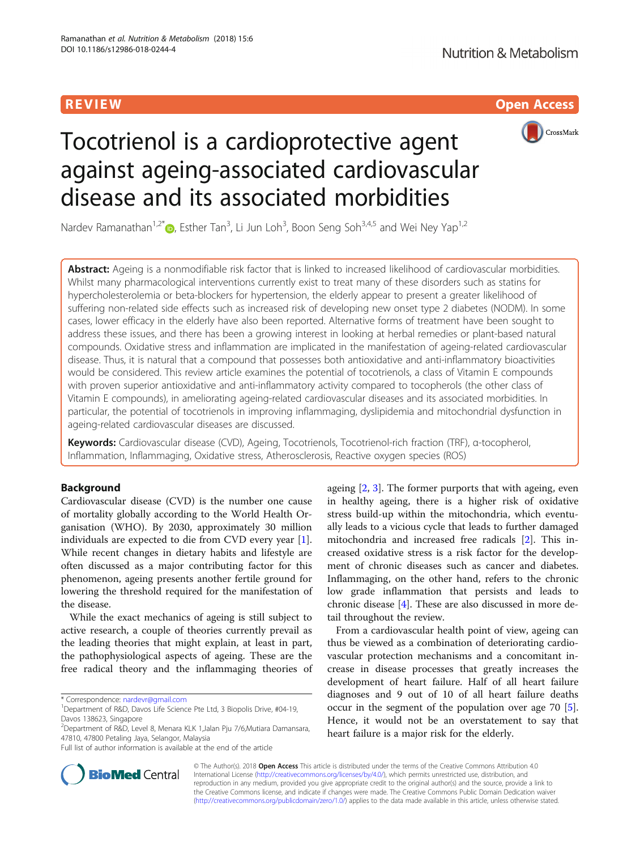R EVI EW Open Access



# Tocotrienol is a cardioprotective agent against ageing-associated cardiovascular disease and its associated morbidities

Nardev Ramanathan<sup>1,2\*</sup> (D, Esther Tan<sup>3</sup>, Li Jun Loh<sup>3</sup>, Boon Seng Soh<sup>3,4,5</sup> and Wei Ney Yap<sup>1,2</sup>

Abstract: Ageing is a nonmodifiable risk factor that is linked to increased likelihood of cardiovascular morbidities. Whilst many pharmacological interventions currently exist to treat many of these disorders such as statins for hypercholesterolemia or beta-blockers for hypertension, the elderly appear to present a greater likelihood of suffering non-related side effects such as increased risk of developing new onset type 2 diabetes (NODM). In some cases, lower efficacy in the elderly have also been reported. Alternative forms of treatment have been sought to address these issues, and there has been a growing interest in looking at herbal remedies or plant-based natural compounds. Oxidative stress and inflammation are implicated in the manifestation of ageing-related cardiovascular disease. Thus, it is natural that a compound that possesses both antioxidative and anti-inflammatory bioactivities would be considered. This review article examines the potential of tocotrienols, a class of Vitamin E compounds with proven superior antioxidative and anti-inflammatory activity compared to tocopherols (the other class of Vitamin E compounds), in ameliorating ageing-related cardiovascular diseases and its associated morbidities. In particular, the potential of tocotrienols in improving inflammaging, dyslipidemia and mitochondrial dysfunction in ageing-related cardiovascular diseases are discussed.

Keywords: Cardiovascular disease (CVD), Ageing, Tocotrienols, Tocotrienol-rich fraction (TRF), α-tocopherol, Inflammation, Inflammaging, Oxidative stress, Atherosclerosis, Reactive oxygen species (ROS)

# Background

Cardiovascular disease (CVD) is the number one cause of mortality globally according to the World Health Organisation (WHO). By 2030, approximately 30 million individuals are expected to die from CVD every year [\[1](#page-10-0)]. While recent changes in dietary habits and lifestyle are often discussed as a major contributing factor for this phenomenon, ageing presents another fertile ground for lowering the threshold required for the manifestation of the disease.

While the exact mechanics of ageing is still subject to active research, a couple of theories currently prevail as the leading theories that might explain, at least in part, the pathophysiological aspects of ageing. These are the free radical theory and the inflammaging theories of

\* Correspondence: [nardevr@gmail.com](mailto:nardevr@gmail.com) <sup>1</sup>

2 Department of R&D, Level 8, Menara KLK 1,Jalan Pju 7/6,Mutiara Damansara, 47810, 47800 Petaling Jaya, Selangor, Malaysia

ageing [\[2,](#page-10-0) [3\]](#page-10-0). The former purports that with ageing, even in healthy ageing, there is a higher risk of oxidative stress build-up within the mitochondria, which eventually leads to a vicious cycle that leads to further damaged mitochondria and increased free radicals [\[2](#page-10-0)]. This increased oxidative stress is a risk factor for the development of chronic diseases such as cancer and diabetes. Inflammaging, on the other hand, refers to the chronic low grade inflammation that persists and leads to chronic disease [\[4](#page-10-0)]. These are also discussed in more detail throughout the review.

From a cardiovascular health point of view, ageing can thus be viewed as a combination of deteriorating cardiovascular protection mechanisms and a concomitant increase in disease processes that greatly increases the development of heart failure. Half of all heart failure diagnoses and 9 out of 10 of all heart failure deaths occur in the segment of the population over age 70 [\[5](#page-10-0)]. Hence, it would not be an overstatement to say that heart failure is a major risk for the elderly.



© The Author(s). 2018 Open Access This article is distributed under the terms of the Creative Commons Attribution 4.0 International License [\(http://creativecommons.org/licenses/by/4.0/](http://creativecommons.org/licenses/by/4.0/)), which permits unrestricted use, distribution, and reproduction in any medium, provided you give appropriate credit to the original author(s) and the source, provide a link to the Creative Commons license, and indicate if changes were made. The Creative Commons Public Domain Dedication waiver [\(http://creativecommons.org/publicdomain/zero/1.0/](http://creativecommons.org/publicdomain/zero/1.0/)) applies to the data made available in this article, unless otherwise stated.

<sup>&</sup>lt;sup>1</sup>Department of R&D, Davos Life Science Pte Ltd, 3 Biopolis Drive, #04-19, Davos 138623, Singapore

Full list of author information is available at the end of the article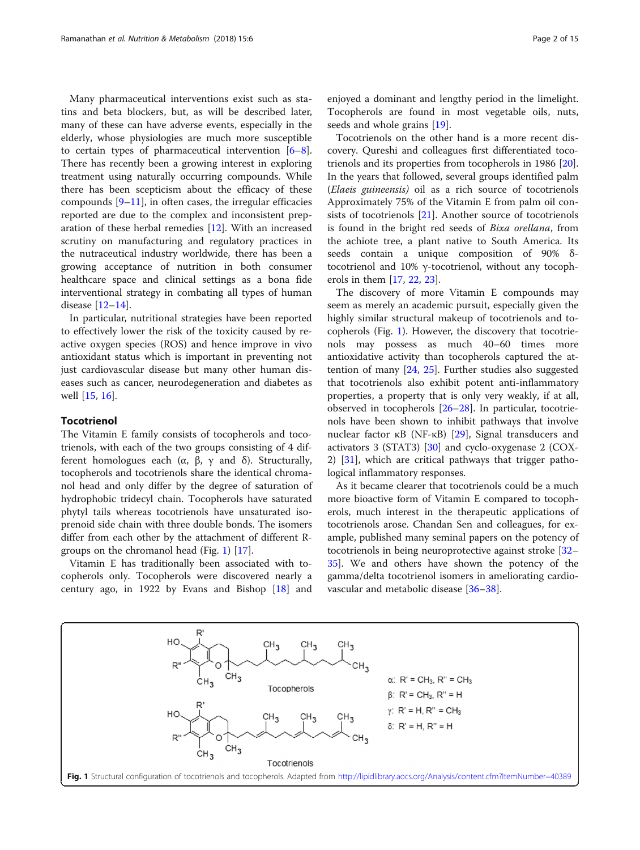<span id="page-1-0"></span>Many pharmaceutical interventions exist such as statins and beta blockers, but, as will be described later, many of these can have adverse events, especially in the elderly, whose physiologies are much more susceptible to certain types of pharmaceutical intervention [\[6](#page-10-0)–[8](#page-10-0)]. There has recently been a growing interest in exploring treatment using naturally occurring compounds. While there has been scepticism about the efficacy of these compounds  $[9-11]$  $[9-11]$  $[9-11]$  $[9-11]$  $[9-11]$ , in often cases, the irregular efficacies reported are due to the complex and inconsistent preparation of these herbal remedies [\[12](#page-10-0)]. With an increased scrutiny on manufacturing and regulatory practices in the nutraceutical industry worldwide, there has been a growing acceptance of nutrition in both consumer healthcare space and clinical settings as a bona fide interventional strategy in combating all types of human disease [\[12](#page-10-0)–[14](#page-10-0)].

In particular, nutritional strategies have been reported to effectively lower the risk of the toxicity caused by reactive oxygen species (ROS) and hence improve in vivo antioxidant status which is important in preventing not just cardiovascular disease but many other human diseases such as cancer, neurodegeneration and diabetes as well [\[15](#page-10-0), [16\]](#page-10-0).

# Tocotrienol

The Vitamin E family consists of tocopherols and tocotrienols, with each of the two groups consisting of 4 different homologues each (α, β, γ and δ). Structurally, tocopherols and tocotrienols share the identical chromanol head and only differ by the degree of saturation of hydrophobic tridecyl chain. Tocopherols have saturated phytyl tails whereas tocotrienols have unsaturated isoprenoid side chain with three double bonds. The isomers differ from each other by the attachment of different Rgroups on the chromanol head (Fig. 1) [\[17\]](#page-10-0).

Vitamin E has traditionally been associated with tocopherols only. Tocopherols were discovered nearly a century ago, in 1922 by Evans and Bishop [[18\]](#page-10-0) and

enjoyed a dominant and lengthy period in the limelight. Tocopherols are found in most vegetable oils, nuts, seeds and whole grains [\[19\]](#page-10-0).

Tocotrienols on the other hand is a more recent discovery. Qureshi and colleagues first differentiated tocotrienols and its properties from tocopherols in 1986 [\[20](#page-10-0)]. In the years that followed, several groups identified palm (Elaeis guineensis) oil as a rich source of tocotrienols Approximately 75% of the Vitamin E from palm oil consists of tocotrienols [\[21\]](#page-10-0). Another source of tocotrienols is found in the bright red seeds of Bixa orellana, from the achiote tree, a plant native to South America. Its seeds contain a unique composition of 90% δtocotrienol and 10% γ-tocotrienol, without any tocopherols in them [\[17](#page-10-0), [22](#page-10-0), [23\]](#page-10-0).

The discovery of more Vitamin E compounds may seem as merely an academic pursuit, especially given the highly similar structural makeup of tocotrienols and tocopherols (Fig. 1). However, the discovery that tocotrienols may possess as much 40–60 times more antioxidative activity than tocopherols captured the attention of many [[24](#page-10-0), [25](#page-10-0)]. Further studies also suggested that tocotrienols also exhibit potent anti-inflammatory properties, a property that is only very weakly, if at all, observed in tocopherols [[26](#page-11-0)–[28](#page-11-0)]. In particular, tocotrienols have been shown to inhibit pathways that involve nuclear factor κB (NF-κB) [\[29](#page-11-0)], Signal transducers and activators 3 (STAT3) [[30\]](#page-11-0) and cyclo-oxygenase 2 (COX-2) [\[31](#page-11-0)], which are critical pathways that trigger pathological inflammatory responses.

As it became clearer that tocotrienols could be a much more bioactive form of Vitamin E compared to tocopherols, much interest in the therapeutic applications of tocotrienols arose. Chandan Sen and colleagues, for example, published many seminal papers on the potency of tocotrienols in being neuroprotective against stroke [[32](#page-11-0)– [35\]](#page-11-0). We and others have shown the potency of the gamma/delta tocotrienol isomers in ameliorating cardiovascular and metabolic disease [\[36](#page-11-0)–[38\]](#page-11-0).

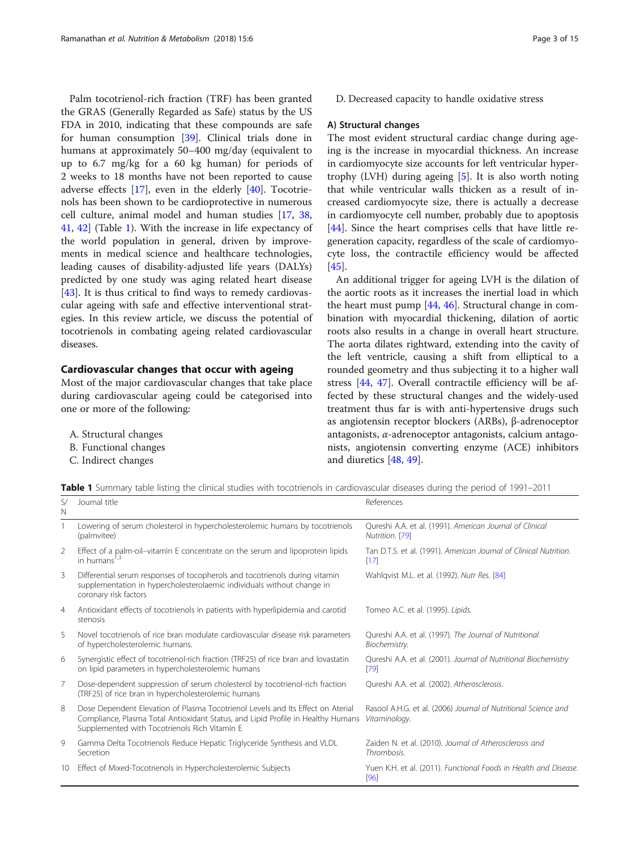Palm tocotrienol-rich fraction (TRF) has been granted the GRAS (Generally Regarded as Safe) status by the US FDA in 2010, indicating that these compounds are safe for human consumption [[39\]](#page-11-0). Clinical trials done in humans at approximately 50–400 mg/day (equivalent to up to 6.7 mg/kg for a 60 kg human) for periods of 2 weeks to 18 months have not been reported to cause adverse effects [\[17\]](#page-10-0), even in the elderly [\[40](#page-11-0)]. Tocotrienols has been shown to be cardioprotective in numerous cell culture, animal model and human studies [[17,](#page-10-0) [38](#page-11-0), [41,](#page-11-0) [42\]](#page-11-0) (Table 1). With the increase in life expectancy of the world population in general, driven by improvements in medical science and healthcare technologies, leading causes of disability-adjusted life years (DALYs) predicted by one study was aging related heart disease [[43\]](#page-11-0). It is thus critical to find ways to remedy cardiovascular ageing with safe and effective interventional strategies. In this review article, we discuss the potential of tocotrienols in combating ageing related cardiovascular diseases.

# Cardiovascular changes that occur with ageing

Most of the major cardiovascular changes that take place during cardiovascular ageing could be categorised into one or more of the following:

- A. Structural changes
- B. Functional changes
- C. Indirect changes

D. Decreased capacity to handle oxidative stress

# A) Structural changes

The most evident structural cardiac change during ageing is the increase in myocardial thickness. An increase in cardiomyocyte size accounts for left ventricular hypertrophy (LVH) during ageing [\[5](#page-10-0)]. It is also worth noting that while ventricular walls thicken as a result of increased cardiomyocyte size, there is actually a decrease in cardiomyocyte cell number, probably due to apoptosis [[44\]](#page-11-0). Since the heart comprises cells that have little regeneration capacity, regardless of the scale of cardiomyocyte loss, the contractile efficiency would be affected [[45\]](#page-11-0).

An additional trigger for ageing LVH is the dilation of the aortic roots as it increases the inertial load in which the heart must pump [\[44,](#page-11-0) [46\]](#page-11-0). Structural change in combination with myocardial thickening, dilation of aortic roots also results in a change in overall heart structure. The aorta dilates rightward, extending into the cavity of the left ventricle, causing a shift from elliptical to a rounded geometry and thus subjecting it to a higher wall stress [[44,](#page-11-0) [47\]](#page-11-0). Overall contractile efficiency will be affected by these structural changes and the widely-used treatment thus far is with anti-hypertensive drugs such as angiotensin receptor blockers (ARBs), β-adrenoceptor antagonists, α-adrenoceptor antagonists, calcium antagonists, angiotensin converting enzyme (ACE) inhibitors and diuretics [[48,](#page-11-0) [49\]](#page-11-0).

Table 1 Summary table listing the clinical studies with tocotrienols in cardiovascular diseases during the period of 1991–2011

| S/<br>N        | Journal title                                                                                                                                                                                                        | References                                                                      |
|----------------|----------------------------------------------------------------------------------------------------------------------------------------------------------------------------------------------------------------------|---------------------------------------------------------------------------------|
|                | Lowering of serum cholesterol in hypercholesterolemic humans by tocotrienols<br>(palmvitee)                                                                                                                          | Qureshi A.A. et al. (1991). American Journal of Clinical<br>Nutrition. [79]     |
| 2              | Effect of a palm-oil-vitamin E concentrate on the serum and lipoprotein lipids<br>in humans <sup>1,3</sup>                                                                                                           | Tan D.T.S. et al. (1991). American Journal of Clinical Nutrition.<br>[17]       |
| 3              | Differential serum responses of tocopherols and tocotrienols during vitamin<br>supplementation in hypercholesterolaemic individuals without change in<br>coronary risk factors                                       | Wahlqvist M.L. et al. (1992). Nutr Res. [84]                                    |
| $\overline{4}$ | Antioxidant effects of tocotrienols in patients with hyperlipidemia and carotid<br>stenosis                                                                                                                          | Tomeo A.C. et al. (1995). Lipids.                                               |
| 5              | Novel tocotrienols of rice bran modulate cardiovascular disease risk parameters<br>of hypercholesterolemic humans.                                                                                                   | Qureshi A.A. et al. (1997). The Journal of Nutritional<br>Biochemistry.         |
| 6              | Synergistic effect of tocotrienol-rich fraction (TRF25) of rice bran and lovastatin<br>on lipid parameters in hypercholesterolemic humans                                                                            | Qureshi A.A. et al. (2001). Journal of Nutritional Biochemistry<br>[79]         |
| 7              | Dose-dependent suppression of serum cholesterol by tocotrienol-rich fraction<br>(TRF25) of rice bran in hypercholesterolemic humans                                                                                  | Qureshi A.A. et al. (2002). Atherosclerosis.                                    |
| 8              | Dose Dependent Elevation of Plasma Tocotrienol Levels and Its Effect on Aterial<br>Compliance, Plasma Total Antioxidant Status, and Lipid Profile in Healthy Humans<br>Supplemented with Tocotrienols Rich Vitamin E | Rasool A.H.G. et al. (2006) Journal of Nutritional Science and<br>Vitaminology. |
| 9              | Gamma Delta Tocotrienols Reduce Hepatic Triglyceride Synthesis and VLDL<br>Secretion                                                                                                                                 | Zaiden N. et al. (2010). Journal of Atherosclerosis and<br>Thrombosis.          |
| 10             | Effect of Mixed-Tocotrienols in Hypercholesterolemic Subjects                                                                                                                                                        | Yuen K.H. et al. (2011). Functional Foods in Health and Disease.<br>[96]        |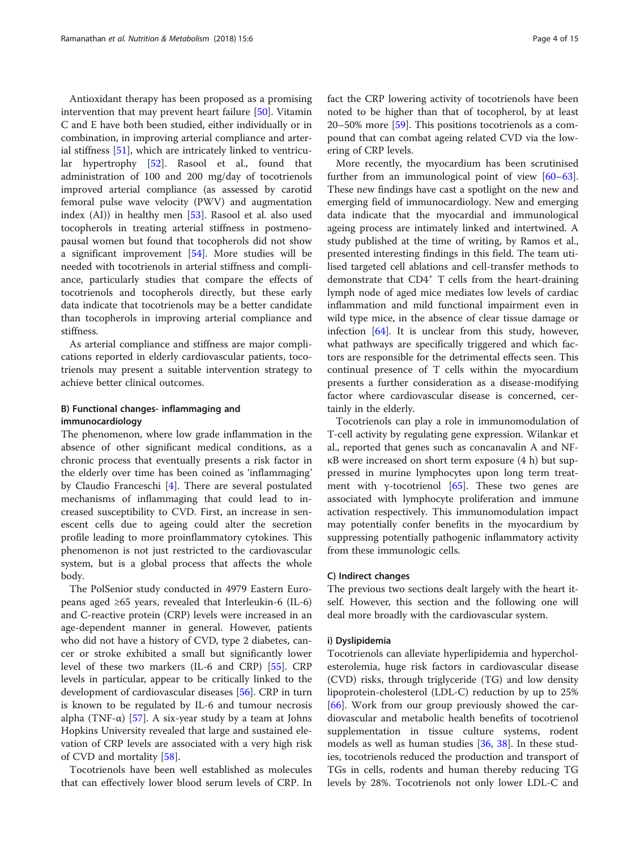Antioxidant therapy has been proposed as a promising intervention that may prevent heart failure [\[50](#page-11-0)]. Vitamin C and E have both been studied, either individually or in combination, in improving arterial compliance and arterial stiffness [\[51](#page-11-0)], which are intricately linked to ventricular hypertrophy [\[52\]](#page-11-0). Rasool et al., found that administration of 100 and 200 mg/day of tocotrienols improved arterial compliance (as assessed by carotid femoral pulse wave velocity (PWV) and augmentation index (AI)) in healthy men [\[53](#page-11-0)]. Rasool et al. also used tocopherols in treating arterial stiffness in postmenopausal women but found that tocopherols did not show a significant improvement [\[54\]](#page-11-0). More studies will be needed with tocotrienols in arterial stiffness and compliance, particularly studies that compare the effects of tocotrienols and tocopherols directly, but these early data indicate that tocotrienols may be a better candidate than tocopherols in improving arterial compliance and stiffness.

As arterial compliance and stiffness are major complications reported in elderly cardiovascular patients, tocotrienols may present a suitable intervention strategy to achieve better clinical outcomes.

# B) Functional changes- inflammaging and immunocardiology

The phenomenon, where low grade inflammation in the absence of other significant medical conditions, as a chronic process that eventually presents a risk factor in the elderly over time has been coined as 'inflammaging' by Claudio Franceschi [[4\]](#page-10-0). There are several postulated mechanisms of inflammaging that could lead to increased susceptibility to CVD. First, an increase in senescent cells due to ageing could alter the secretion profile leading to more proinflammatory cytokines. This phenomenon is not just restricted to the cardiovascular system, but is a global process that affects the whole body.

The PolSenior study conducted in 4979 Eastern Europeans aged ≥65 years, revealed that Interleukin-6 (IL-6) and C-reactive protein (CRP) levels were increased in an age-dependent manner in general. However, patients who did not have a history of CVD, type 2 diabetes, cancer or stroke exhibited a small but significantly lower level of these two markers (IL-6 and CRP) [\[55](#page-11-0)]. CRP levels in particular, appear to be critically linked to the development of cardiovascular diseases [[56\]](#page-11-0). CRP in turn is known to be regulated by IL-6 and tumour necrosis alpha (TNF-α) [\[57](#page-11-0)]. A six-year study by a team at Johns Hopkins University revealed that large and sustained elevation of CRP levels are associated with a very high risk of CVD and mortality [[58\]](#page-11-0).

Tocotrienols have been well established as molecules that can effectively lower blood serum levels of CRP. In fact the CRP lowering activity of tocotrienols have been noted to be higher than that of tocopherol, by at least 20–50% more [[59\]](#page-11-0). This positions tocotrienols as a compound that can combat ageing related CVD via the lowering of CRP levels.

More recently, the myocardium has been scrutinised further from an immunological point of view [[60](#page-11-0)–[63](#page-12-0)]. These new findings have cast a spotlight on the new and emerging field of immunocardiology. New and emerging data indicate that the myocardial and immunological ageing process are intimately linked and intertwined. A study published at the time of writing, by Ramos et al., presented interesting findings in this field. The team utilised targeted cell ablations and cell-transfer methods to demonstrate that  $CD4^+$  T cells from the heart-draining lymph node of aged mice mediates low levels of cardiac inflammation and mild functional impairment even in wild type mice, in the absence of clear tissue damage or infection [\[64\]](#page-12-0). It is unclear from this study, however, what pathways are specifically triggered and which factors are responsible for the detrimental effects seen. This continual presence of T cells within the myocardium presents a further consideration as a disease-modifying factor where cardiovascular disease is concerned, certainly in the elderly.

Tocotrienols can play a role in immunomodulation of T-cell activity by regulating gene expression. Wilankar et al., reported that genes such as concanavalin A and NFκB were increased on short term exposure (4 h) but suppressed in murine lymphocytes upon long term treatment with  $\gamma$ -tocotrienol [[65\]](#page-12-0). These two genes are associated with lymphocyte proliferation and immune activation respectively. This immunomodulation impact may potentially confer benefits in the myocardium by suppressing potentially pathogenic inflammatory activity from these immunologic cells.

## C) Indirect changes

The previous two sections dealt largely with the heart itself. However, this section and the following one will deal more broadly with the cardiovascular system.

# i) Dyslipidemia

Tocotrienols can alleviate hyperlipidemia and hypercholesterolemia, huge risk factors in cardiovascular disease (CVD) risks, through triglyceride (TG) and low density lipoprotein-cholesterol (LDL-C) reduction by up to 25% [[66\]](#page-12-0). Work from our group previously showed the cardiovascular and metabolic health benefits of tocotrienol supplementation in tissue culture systems, rodent models as well as human studies [\[36](#page-11-0), [38](#page-11-0)]. In these studies, tocotrienols reduced the production and transport of TGs in cells, rodents and human thereby reducing TG levels by 28%. Tocotrienols not only lower LDL-C and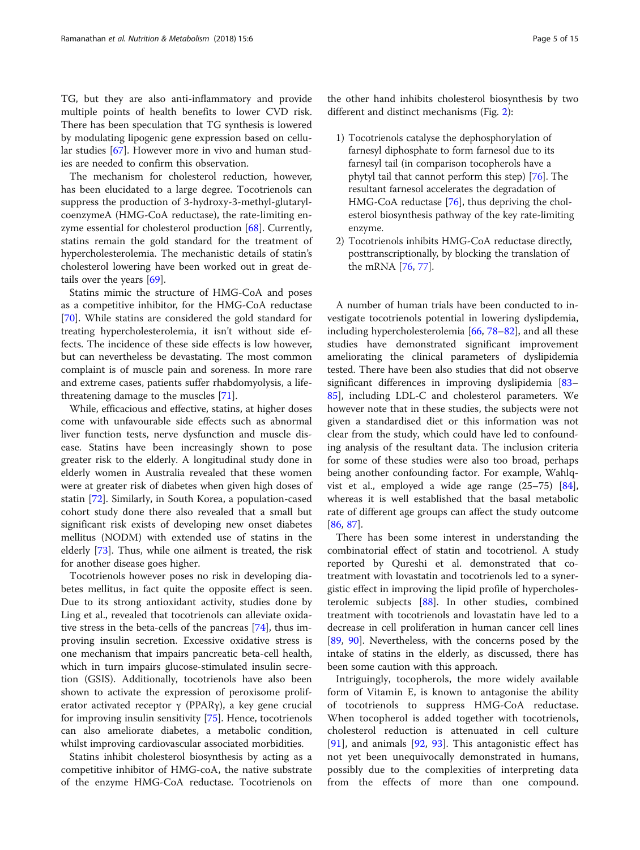TG, but they are also anti-inflammatory and provide multiple points of health benefits to lower CVD risk. There has been speculation that TG synthesis is lowered by modulating lipogenic gene expression based on cellular studies [\[67](#page-12-0)]. However more in vivo and human studies are needed to confirm this observation.

The mechanism for cholesterol reduction, however, has been elucidated to a large degree. Tocotrienols can suppress the production of 3-hydroxy-3-methyl-glutarylcoenzymeA (HMG-CoA reductase), the rate-limiting enzyme essential for cholesterol production [\[68\]](#page-12-0). Currently, statins remain the gold standard for the treatment of hypercholesterolemia. The mechanistic details of statin's cholesterol lowering have been worked out in great details over the years [\[69](#page-12-0)].

Statins mimic the structure of HMG-CoA and poses as a competitive inhibitor, for the HMG-CoA reductase [[70\]](#page-12-0). While statins are considered the gold standard for treating hypercholesterolemia, it isn't without side effects. The incidence of these side effects is low however, but can nevertheless be devastating. The most common complaint is of muscle pain and soreness. In more rare and extreme cases, patients suffer rhabdomyolysis, a lifethreatening damage to the muscles [\[71\]](#page-12-0).

While, efficacious and effective, statins, at higher doses come with unfavourable side effects such as abnormal liver function tests, nerve dysfunction and muscle disease. Statins have been increasingly shown to pose greater risk to the elderly. A longitudinal study done in elderly women in Australia revealed that these women were at greater risk of diabetes when given high doses of statin [[72](#page-12-0)]. Similarly, in South Korea, a population-cased cohort study done there also revealed that a small but significant risk exists of developing new onset diabetes mellitus (NODM) with extended use of statins in the elderly [[73\]](#page-12-0). Thus, while one ailment is treated, the risk for another disease goes higher.

Tocotrienols however poses no risk in developing diabetes mellitus, in fact quite the opposite effect is seen. Due to its strong antioxidant activity, studies done by Ling et al., revealed that tocotrienols can alleviate oxidative stress in the beta-cells of the pancreas [\[74](#page-12-0)], thus improving insulin secretion. Excessive oxidative stress is one mechanism that impairs pancreatic beta-cell health, which in turn impairs glucose-stimulated insulin secretion (GSIS). Additionally, tocotrienols have also been shown to activate the expression of peroxisome proliferator activated receptor γ (PPARγ), a key gene crucial for improving insulin sensitivity [[75\]](#page-12-0). Hence, tocotrienols can also ameliorate diabetes, a metabolic condition, whilst improving cardiovascular associated morbidities.

Statins inhibit cholesterol biosynthesis by acting as a competitive inhibitor of HMG-coA, the native substrate of the enzyme HMG-CoA reductase. Tocotrienols on the other hand inhibits cholesterol biosynthesis by two different and distinct mechanisms (Fig. [2](#page-5-0)):

- 1) Tocotrienols catalyse the dephosphorylation of farnesyl diphosphate to form farnesol due to its farnesyl tail (in comparison tocopherols have a phytyl tail that cannot perform this step) [\[76](#page-12-0)]. The resultant farnesol accelerates the degradation of HMG-CoA reductase [\[76](#page-12-0)], thus depriving the cholesterol biosynthesis pathway of the key rate-limiting enzyme.
- 2) Tocotrienols inhibits HMG-CoA reductase directly, posttranscriptionally, by blocking the translation of the mRNA [[76](#page-12-0), [77\]](#page-12-0).

A number of human trials have been conducted to investigate tocotrienols potential in lowering dyslipdemia, including hypercholesterolemia [[66,](#page-12-0) [78](#page-12-0)–[82](#page-12-0)], and all these studies have demonstrated significant improvement ameliorating the clinical parameters of dyslipidemia tested. There have been also studies that did not observe significant differences in improving dyslipidemia [[83](#page-12-0)– [85\]](#page-12-0), including LDL-C and cholesterol parameters. We however note that in these studies, the subjects were not given a standardised diet or this information was not clear from the study, which could have led to confounding analysis of the resultant data. The inclusion criteria for some of these studies were also too broad, perhaps being another confounding factor. For example, Wahlqvist et al., employed a wide age range (25–75) [\[84](#page-12-0)], whereas it is well established that the basal metabolic rate of different age groups can affect the study outcome [[86,](#page-12-0) [87\]](#page-12-0).

There has been some interest in understanding the combinatorial effect of statin and tocotrienol. A study reported by Qureshi et al. demonstrated that cotreatment with lovastatin and tocotrienols led to a synergistic effect in improving the lipid profile of hypercholesterolemic subjects [\[88](#page-12-0)]. In other studies, combined treatment with tocotrienols and lovastatin have led to a decrease in cell proliferation in human cancer cell lines [[89,](#page-12-0) [90](#page-12-0)]. Nevertheless, with the concerns posed by the intake of statins in the elderly, as discussed, there has been some caution with this approach.

Intriguingly, tocopherols, the more widely available form of Vitamin E, is known to antagonise the ability of tocotrienols to suppress HMG-CoA reductase. When tocopherol is added together with tocotrienols, cholesterol reduction is attenuated in cell culture [[91](#page-12-0)], and animals [[92,](#page-12-0) [93](#page-12-0)]. This antagonistic effect has not yet been unequivocally demonstrated in humans, possibly due to the complexities of interpreting data from the effects of more than one compound.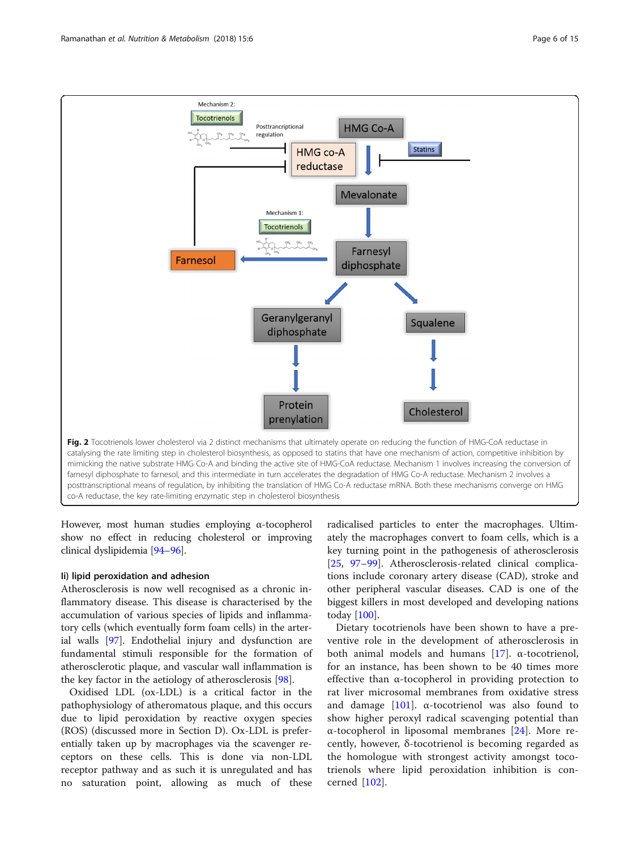<span id="page-5-0"></span>

However, most human studies employing α-tocopherol show no effect in reducing cholesterol or improving clinical dyslipidemia [\[94](#page-12-0)–[96](#page-13-0)].

# Ii) lipid peroxidation and adhesion

Atherosclerosis is now well recognised as a chronic inflammatory disease. This disease is characterised by the accumulation of various species of lipids and inflammatory cells (which eventually form foam cells) in the arterial walls [\[97\]](#page-13-0). Endothelial injury and dysfunction are fundamental stimuli responsible for the formation of atherosclerotic plaque, and vascular wall inflammation is the key factor in the aetiology of atherosclerosis [[98\]](#page-13-0).

Oxidised LDL (ox-LDL) is a critical factor in the pathophysiology of atheromatous plaque, and this occurs due to lipid peroxidation by reactive oxygen species (ROS) (discussed more in Section D). Ox-LDL is preferentially taken up by macrophages via the scavenger receptors on these cells. This is done via non-LDL receptor pathway and as such it is unregulated and has no saturation point, allowing as much of these

radicalised particles to enter the macrophages. Ultimately the macrophages convert to foam cells, which is a key turning point in the pathogenesis of atherosclerosis [[25,](#page-10-0) [97](#page-13-0)–[99\]](#page-13-0). Atherosclerosis-related clinical complications include coronary artery disease (CAD), stroke and other peripheral vascular diseases. CAD is one of the biggest killers in most developed and developing nations today [\[100\]](#page-13-0).

Dietary tocotrienols have been shown to have a preventive role in the development of atherosclerosis in both animal models and humans [[17\]](#page-10-0). α-tocotrienol, for an instance, has been shown to be 40 times more effective than α-tocopherol in providing protection to rat liver microsomal membranes from oxidative stress and damage  $[101]$  $[101]$ .  $\alpha$ -tocotrienol was also found to show higher peroxyl radical scavenging potential than α-tocopherol in liposomal membranes [[24\]](#page-10-0). More recently, however, δ-tocotrienol is becoming regarded as the homologue with strongest activity amongst tocotrienols where lipid peroxidation inhibition is concerned [[102\]](#page-13-0).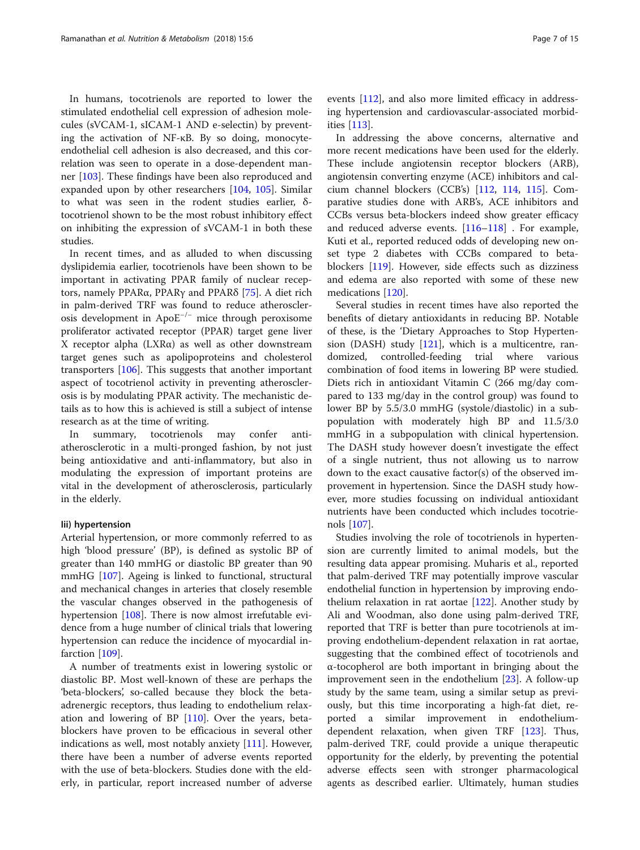In humans, tocotrienols are reported to lower the stimulated endothelial cell expression of adhesion molecules (sVCAM-1, sICAM-1 AND e-selectin) by preventing the activation of NF-κB. By so doing, monocyteendothelial cell adhesion is also decreased, and this correlation was seen to operate in a dose-dependent manner [\[103](#page-13-0)]. These findings have been also reproduced and expanded upon by other researchers [[104,](#page-13-0) [105](#page-13-0)]. Similar to what was seen in the rodent studies earlier, δtocotrienol shown to be the most robust inhibitory effect on inhibiting the expression of sVCAM-1 in both these studies.

In recent times, and as alluded to when discussing dyslipidemia earlier, tocotrienols have been shown to be important in activating PPAR family of nuclear receptors, namely PPARα, PPARγ and PPARδ [\[75\]](#page-12-0). A diet rich in palm-derived TRF was found to reduce atherosclerosis development in ApoE−/<sup>−</sup> mice through peroxisome proliferator activated receptor (PPAR) target gene liver X receptor alpha (LXRα) as well as other downstream target genes such as apolipoproteins and cholesterol transporters [[106\]](#page-13-0). This suggests that another important aspect of tocotrienol activity in preventing atherosclerosis is by modulating PPAR activity. The mechanistic details as to how this is achieved is still a subject of intense research as at the time of writing.

In summary, tocotrienols may confer antiatherosclerotic in a multi-pronged fashion, by not just being antioxidative and anti-inflammatory, but also in modulating the expression of important proteins are vital in the development of atherosclerosis, particularly in the elderly.

# Iii) hypertension

Arterial hypertension, or more commonly referred to as high 'blood pressure' (BP), is defined as systolic BP of greater than 140 mmHG or diastolic BP greater than 90 mmHG [\[107\]](#page-13-0). Ageing is linked to functional, structural and mechanical changes in arteries that closely resemble the vascular changes observed in the pathogenesis of hypertension [\[108](#page-13-0)]. There is now almost irrefutable evidence from a huge number of clinical trials that lowering hypertension can reduce the incidence of myocardial infarction [\[109](#page-13-0)].

A number of treatments exist in lowering systolic or diastolic BP. Most well-known of these are perhaps the 'beta-blockers', so-called because they block the betaadrenergic receptors, thus leading to endothelium relaxation and lowering of BP [\[110](#page-13-0)]. Over the years, betablockers have proven to be efficacious in several other indications as well, most notably anxiety [\[111](#page-13-0)]. However, there have been a number of adverse events reported with the use of beta-blockers. Studies done with the elderly, in particular, report increased number of adverse

events [[112](#page-13-0)], and also more limited efficacy in addressing hypertension and cardiovascular-associated morbidities [\[113](#page-13-0)].

In addressing the above concerns, alternative and more recent medications have been used for the elderly. These include angiotensin receptor blockers (ARB), angiotensin converting enzyme (ACE) inhibitors and calcium channel blockers (CCB's) [[112](#page-13-0), [114](#page-13-0), [115\]](#page-13-0). Comparative studies done with ARB's, ACE inhibitors and CCBs versus beta-blockers indeed show greater efficacy and reduced adverse events. [\[116](#page-13-0)–[118\]](#page-13-0) . For example, Kuti et al., reported reduced odds of developing new onset type 2 diabetes with CCBs compared to betablockers [[119](#page-13-0)]. However, side effects such as dizziness and edema are also reported with some of these new medications [[120\]](#page-13-0).

Several studies in recent times have also reported the benefits of dietary antioxidants in reducing BP. Notable of these, is the 'Dietary Approaches to Stop Hypertension (DASH) study  $[121]$  $[121]$  $[121]$ , which is a multicentre, randomized, controlled-feeding trial where various combination of food items in lowering BP were studied. Diets rich in antioxidant Vitamin C (266 mg/day compared to 133 mg/day in the control group) was found to lower BP by 5.5/3.0 mmHG (systole/diastolic) in a subpopulation with moderately high BP and 11.5/3.0 mmHG in a subpopulation with clinical hypertension. The DASH study however doesn't investigate the effect of a single nutrient, thus not allowing us to narrow down to the exact causative factor(s) of the observed improvement in hypertension. Since the DASH study however, more studies focussing on individual antioxidant nutrients have been conducted which includes tocotrienols [[107](#page-13-0)].

Studies involving the role of tocotrienols in hypertension are currently limited to animal models, but the resulting data appear promising. Muharis et al., reported that palm-derived TRF may potentially improve vascular endothelial function in hypertension by improving endothelium relaxation in rat aortae  $[122]$  $[122]$ . Another study by Ali and Woodman, also done using palm-derived TRF, reported that TRF is better than pure tocotrienols at improving endothelium-dependent relaxation in rat aortae, suggesting that the combined effect of tocotrienols and α-tocopherol are both important in bringing about the improvement seen in the endothelium [\[23](#page-10-0)]. A follow-up study by the same team, using a similar setup as previously, but this time incorporating a high-fat diet, reported a similar improvement in endotheliumdependent relaxation, when given TRF [[123](#page-13-0)]. Thus, palm-derived TRF, could provide a unique therapeutic opportunity for the elderly, by preventing the potential adverse effects seen with stronger pharmacological agents as described earlier. Ultimately, human studies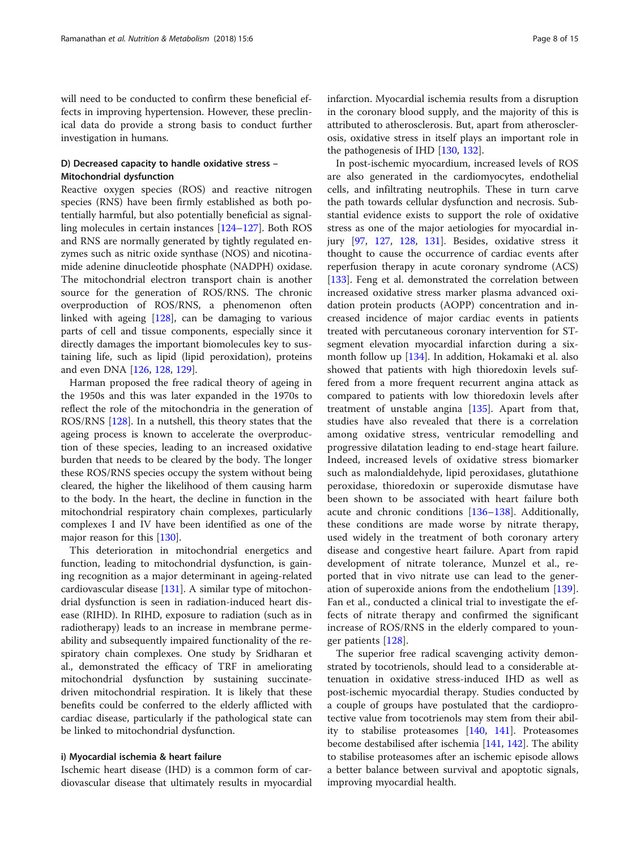will need to be conducted to confirm these beneficial effects in improving hypertension. However, these preclinical data do provide a strong basis to conduct further investigation in humans.

# D) Decreased capacity to handle oxidative stress – Mitochondrial dysfunction

Reactive oxygen species (ROS) and reactive nitrogen species (RNS) have been firmly established as both potentially harmful, but also potentially beneficial as signalling molecules in certain instances [\[124](#page-13-0)–[127\]](#page-13-0). Both ROS and RNS are normally generated by tightly regulated enzymes such as nitric oxide synthase (NOS) and nicotinamide adenine dinucleotide phosphate (NADPH) oxidase. The mitochondrial electron transport chain is another source for the generation of ROS/RNS. The chronic overproduction of ROS/RNS, a phenomenon often linked with ageing [\[128\]](#page-14-0), can be damaging to various parts of cell and tissue components, especially since it directly damages the important biomolecules key to sustaining life, such as lipid (lipid peroxidation), proteins and even DNA [\[126,](#page-13-0) [128,](#page-14-0) [129](#page-14-0)].

Harman proposed the free radical theory of ageing in the 1950s and this was later expanded in the 1970s to reflect the role of the mitochondria in the generation of ROS/RNS [\[128\]](#page-14-0). In a nutshell, this theory states that the ageing process is known to accelerate the overproduction of these species, leading to an increased oxidative burden that needs to be cleared by the body. The longer these ROS/RNS species occupy the system without being cleared, the higher the likelihood of them causing harm to the body. In the heart, the decline in function in the mitochondrial respiratory chain complexes, particularly complexes I and IV have been identified as one of the major reason for this [[130\]](#page-14-0).

This deterioration in mitochondrial energetics and function, leading to mitochondrial dysfunction, is gaining recognition as a major determinant in ageing-related cardiovascular disease [[131\]](#page-14-0). A similar type of mitochondrial dysfunction is seen in radiation-induced heart disease (RIHD). In RIHD, exposure to radiation (such as in radiotherapy) leads to an increase in membrane permeability and subsequently impaired functionality of the respiratory chain complexes. One study by Sridharan et al., demonstrated the efficacy of TRF in ameliorating mitochondrial dysfunction by sustaining succinatedriven mitochondrial respiration. It is likely that these benefits could be conferred to the elderly afflicted with cardiac disease, particularly if the pathological state can be linked to mitochondrial dysfunction.

# i) Myocardial ischemia & heart failure

Ischemic heart disease (IHD) is a common form of cardiovascular disease that ultimately results in myocardial infarction. Myocardial ischemia results from a disruption in the coronary blood supply, and the majority of this is attributed to atherosclerosis. But, apart from atherosclerosis, oxidative stress in itself plays an important role in the pathogenesis of IHD [[130](#page-14-0), [132](#page-14-0)].

In post-ischemic myocardium, increased levels of ROS are also generated in the cardiomyocytes, endothelial cells, and infiltrating neutrophils. These in turn carve the path towards cellular dysfunction and necrosis. Substantial evidence exists to support the role of oxidative stress as one of the major aetiologies for myocardial injury [\[97](#page-13-0), [127](#page-13-0), [128,](#page-14-0) [131](#page-14-0)]. Besides, oxidative stress it thought to cause the occurrence of cardiac events after reperfusion therapy in acute coronary syndrome (ACS) [[133\]](#page-14-0). Feng et al. demonstrated the correlation between increased oxidative stress marker plasma advanced oxidation protein products (AOPP) concentration and increased incidence of major cardiac events in patients treated with percutaneous coronary intervention for STsegment elevation myocardial infarction during a sixmonth follow up [\[134](#page-14-0)]. In addition, Hokamaki et al. also showed that patients with high thioredoxin levels suffered from a more frequent recurrent angina attack as compared to patients with low thioredoxin levels after treatment of unstable angina [\[135\]](#page-14-0). Apart from that, studies have also revealed that there is a correlation among oxidative stress, ventricular remodelling and progressive dilatation leading to end-stage heart failure. Indeed, increased levels of oxidative stress biomarker such as malondialdehyde, lipid peroxidases, glutathione peroxidase, thioredoxin or superoxide dismutase have been shown to be associated with heart failure both acute and chronic conditions [[136](#page-14-0)–[138](#page-14-0)]. Additionally, these conditions are made worse by nitrate therapy, used widely in the treatment of both coronary artery disease and congestive heart failure. Apart from rapid development of nitrate tolerance, Munzel et al., reported that in vivo nitrate use can lead to the generation of superoxide anions from the endothelium [\[139](#page-14-0)]. Fan et al., conducted a clinical trial to investigate the effects of nitrate therapy and confirmed the significant increase of ROS/RNS in the elderly compared to younger patients [[128\]](#page-14-0).

The superior free radical scavenging activity demonstrated by tocotrienols, should lead to a considerable attenuation in oxidative stress-induced IHD as well as post-ischemic myocardial therapy. Studies conducted by a couple of groups have postulated that the cardioprotective value from tocotrienols may stem from their ability to stabilise proteasomes [[140](#page-14-0), [141\]](#page-14-0). Proteasomes become destabilised after ischemia [\[141,](#page-14-0) [142\]](#page-14-0). The ability to stabilise proteasomes after an ischemic episode allows a better balance between survival and apoptotic signals, improving myocardial health.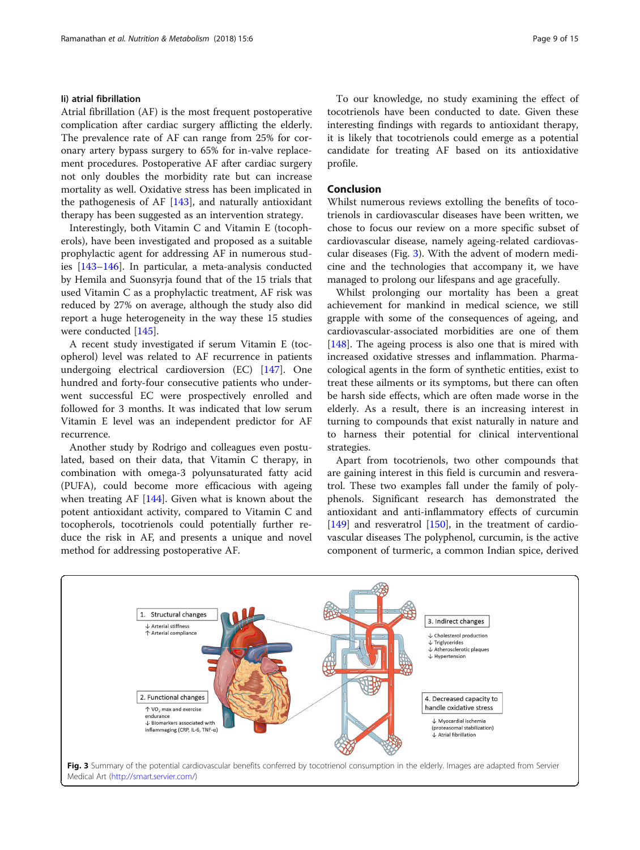# Ii) atrial fibrillation

Atrial fibrillation (AF) is the most frequent postoperative complication after cardiac surgery afflicting the elderly. The prevalence rate of AF can range from 25% for coronary artery bypass surgery to 65% for in-valve replacement procedures. Postoperative AF after cardiac surgery not only doubles the morbidity rate but can increase mortality as well. Oxidative stress has been implicated in the pathogenesis of AF [\[143\]](#page-14-0), and naturally antioxidant therapy has been suggested as an intervention strategy.

Interestingly, both Vitamin C and Vitamin E (tocopherols), have been investigated and proposed as a suitable prophylactic agent for addressing AF in numerous studies [\[143](#page-14-0)–[146\]](#page-14-0). In particular, a meta-analysis conducted by Hemila and Suonsyrja found that of the 15 trials that used Vitamin C as a prophylactic treatment, AF risk was reduced by 27% on average, although the study also did report a huge heterogeneity in the way these 15 studies were conducted [[145\]](#page-14-0).

A recent study investigated if serum Vitamin E (tocopherol) level was related to AF recurrence in patients undergoing electrical cardioversion (EC) [[147](#page-14-0)]. One hundred and forty-four consecutive patients who underwent successful EC were prospectively enrolled and followed for 3 months. It was indicated that low serum Vitamin E level was an independent predictor for AF recurrence.

Another study by Rodrigo and colleagues even postulated, based on their data, that Vitamin C therapy, in combination with omega-3 polyunsaturated fatty acid (PUFA), could become more efficacious with ageing when treating AF [[144\]](#page-14-0). Given what is known about the potent antioxidant activity, compared to Vitamin C and tocopherols, tocotrienols could potentially further reduce the risk in AF, and presents a unique and novel method for addressing postoperative AF.

To our knowledge, no study examining the effect of tocotrienols have been conducted to date. Given these interesting findings with regards to antioxidant therapy, it is likely that tocotrienols could emerge as a potential candidate for treating AF based on its antioxidative profile.

# Conclusion

Whilst numerous reviews extolling the benefits of tocotrienols in cardiovascular diseases have been written, we chose to focus our review on a more specific subset of cardiovascular disease, namely ageing-related cardiovascular diseases (Fig. 3). With the advent of modern medicine and the technologies that accompany it, we have managed to prolong our lifespans and age gracefully.

Whilst prolonging our mortality has been a great achievement for mankind in medical science, we still grapple with some of the consequences of ageing, and cardiovascular-associated morbidities are one of them [[148\]](#page-14-0). The ageing process is also one that is mired with increased oxidative stresses and inflammation. Pharmacological agents in the form of synthetic entities, exist to treat these ailments or its symptoms, but there can often be harsh side effects, which are often made worse in the elderly. As a result, there is an increasing interest in turning to compounds that exist naturally in nature and to harness their potential for clinical interventional strategies.

Apart from tocotrienols, two other compounds that are gaining interest in this field is curcumin and resveratrol. These two examples fall under the family of polyphenols. Significant research has demonstrated the antioxidant and anti-inflammatory effects of curcumin [[149\]](#page-14-0) and resveratrol [[150\]](#page-14-0), in the treatment of cardiovascular diseases The polyphenol, curcumin, is the active component of turmeric, a common Indian spice, derived

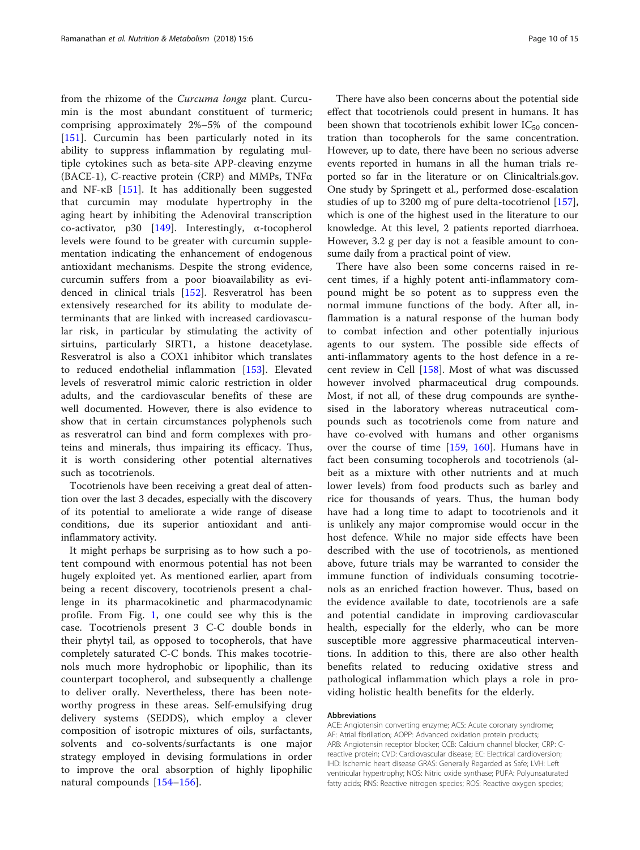from the rhizome of the Curcuma longa plant. Curcumin is the most abundant constituent of turmeric; comprising approximately 2%–5% of the compound [[151\]](#page-14-0). Curcumin has been particularly noted in its ability to suppress inflammation by regulating multiple cytokines such as beta-site APP-cleaving enzyme (BACE-1), C-reactive protein (CRP) and MMPs, TNFα and NF-κB [[151\]](#page-14-0). It has additionally been suggested that curcumin may modulate hypertrophy in the aging heart by inhibiting the Adenoviral transcription co-activator, p30 [[149\]](#page-14-0). Interestingly, α-tocopherol levels were found to be greater with curcumin supplementation indicating the enhancement of endogenous antioxidant mechanisms. Despite the strong evidence, curcumin suffers from a poor bioavailability as evidenced in clinical trials [[152\]](#page-14-0). Resveratrol has been extensively researched for its ability to modulate determinants that are linked with increased cardiovascular risk, in particular by stimulating the activity of sirtuins, particularly SIRT1, a histone deacetylase. Resveratrol is also a COX1 inhibitor which translates to reduced endothelial inflammation [[153\]](#page-14-0). Elevated levels of resveratrol mimic caloric restriction in older adults, and the cardiovascular benefits of these are well documented. However, there is also evidence to show that in certain circumstances polyphenols such as resveratrol can bind and form complexes with proteins and minerals, thus impairing its efficacy. Thus, it is worth considering other potential alternatives such as tocotrienols.

Tocotrienols have been receiving a great deal of attention over the last 3 decades, especially with the discovery of its potential to ameliorate a wide range of disease conditions, due its superior antioxidant and antiinflammatory activity.

It might perhaps be surprising as to how such a potent compound with enormous potential has not been hugely exploited yet. As mentioned earlier, apart from being a recent discovery, tocotrienols present a challenge in its pharmacokinetic and pharmacodynamic profile. From Fig. [1](#page-1-0), one could see why this is the case. Tocotrienols present 3 C-C double bonds in their phytyl tail, as opposed to tocopherols, that have completely saturated C-C bonds. This makes tocotrienols much more hydrophobic or lipophilic, than its counterpart tocopherol, and subsequently a challenge to deliver orally. Nevertheless, there has been noteworthy progress in these areas. Self-emulsifying drug delivery systems (SEDDS), which employ a clever composition of isotropic mixtures of oils, surfactants, solvents and co-solvents/surfactants is one major strategy employed in devising formulations in order to improve the oral absorption of highly lipophilic natural compounds [[154](#page-14-0)–[156\]](#page-14-0).

There have also been concerns about the potential side effect that tocotrienols could present in humans. It has been shown that tocotrienols exhibit lower  $IC_{50}$  concentration than tocopherols for the same concentration. However, up to date, there have been no serious adverse events reported in humans in all the human trials reported so far in the literature or on Clinicaltrials.gov. One study by Springett et al., performed dose-escalation studies of up to 3200 mg of pure delta-tocotrienol [[157](#page-14-0)], which is one of the highest used in the literature to our knowledge. At this level, 2 patients reported diarrhoea. However, 3.2 g per day is not a feasible amount to consume daily from a practical point of view.

There have also been some concerns raised in recent times, if a highly potent anti-inflammatory compound might be so potent as to suppress even the normal immune functions of the body. After all, inflammation is a natural response of the human body to combat infection and other potentially injurious agents to our system. The possible side effects of anti-inflammatory agents to the host defence in a recent review in Cell [[158\]](#page-14-0). Most of what was discussed however involved pharmaceutical drug compounds. Most, if not all, of these drug compounds are synthesised in the laboratory whereas nutraceutical compounds such as tocotrienols come from nature and have co-evolved with humans and other organisms over the course of time [[159,](#page-14-0) [160\]](#page-14-0). Humans have in fact been consuming tocopherols and tocotrienols (albeit as a mixture with other nutrients and at much lower levels) from food products such as barley and rice for thousands of years. Thus, the human body have had a long time to adapt to tocotrienols and it is unlikely any major compromise would occur in the host defence. While no major side effects have been described with the use of tocotrienols, as mentioned above, future trials may be warranted to consider the immune function of individuals consuming tocotrienols as an enriched fraction however. Thus, based on the evidence available to date, tocotrienols are a safe and potential candidate in improving cardiovascular health, especially for the elderly, who can be more susceptible more aggressive pharmaceutical interventions. In addition to this, there are also other health benefits related to reducing oxidative stress and pathological inflammation which plays a role in providing holistic health benefits for the elderly.

# Abbreviations

ACE: Angiotensin converting enzyme; ACS: Acute coronary syndrome; AF: Atrial fibrillation; AOPP: Advanced oxidation protein products; ARB: Angiotensin receptor blocker; CCB: Calcium channel blocker; CRP: Creactive protein; CVD: Cardiovascular disease; EC: Electrical cardioversion; IHD: Ischemic heart disease GRAS: Generally Regarded as Safe; LVH: Left ventricular hypertrophy; NOS: Nitric oxide synthase; PUFA: Polyunsaturated fatty acids; RNS: Reactive nitrogen species; ROS: Reactive oxygen species;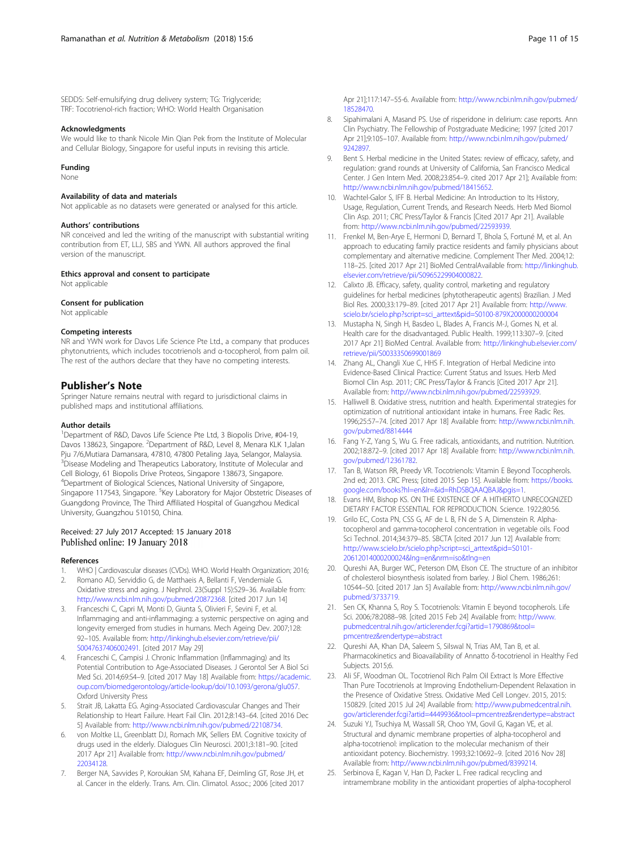<span id="page-10-0"></span>SEDDS: Self-emulsifying drug delivery system; TG: Triglyceride; TRF: Tocotrienol-rich fraction; WHO: World Health Organisation

# Acknowledgments

We would like to thank Nicole Min Qian Pek from the Institute of Molecular and Cellular Biology, Singapore for useful inputs in revising this article.

#### Funding

None

#### Availability of data and materials

Not applicable as no datasets were generated or analysed for this article.

#### Authors' contributions

NR conceived and led the writing of the manuscript with substantial writing contribution from ET, LLJ, SBS and YWN. All authors approved the final version of the manuscript.

#### Ethics approval and consent to participate

Not applicable

#### Consent for publication

Not applicable

#### Competing interests

NR and YWN work for Davos Life Science Pte Ltd., a company that produces phytonutrients, which includes tocotrienols and α-tocopherol, from palm oil. The rest of the authors declare that they have no competing interests.

# Publisher's Note

Springer Nature remains neutral with regard to jurisdictional claims in published maps and institutional affiliations.

#### Author details

<sup>1</sup>Department of R&D, Davos Life Science Pte Ltd, 3 Biopolis Drive, #04-19, Davos 138623, Singapore. <sup>2</sup>Department of R&D, Level 8, Menara KLK 1,Jalan Pju 7/6,Mutiara Damansara, 47810, 47800 Petaling Jaya, Selangor, Malaysia. <sup>3</sup>Disease Modeling and Therapeutics Laboratory, Institute of Molecular and Cell Biology, 61 Biopolis Drive Proteos, Singapore 138673, Singapore. 4 Department of Biological Sciences, National University of Singapore, Singapore 117543, Singapore. <sup>5</sup>Key Laboratory for Major Obstetric Diseases of Guangdong Province, The Third Affiliated Hospital of Guangzhou Medical University, Guangzhou 510150, China.

# Received: 27 July 2017 Accepted: 15 January 2018 Published online: 19 January 2018

#### References

- 1. WHO | Cardiovascular diseases (CVDs). WHO. World Health Organization; 2016;
- 2. Romano AD, Serviddio G, de Matthaeis A, Bellanti F, Vendemiale G. Oxidative stress and aging. J Nephrol. 23(Suppl 15):S29–36. Available from: [http://www.ncbi.nlm.nih.gov/pubmed/20872368.](http://www.ncbi.nlm.nih.gov/pubmed/20872368) [cited 2017 Jun 14]
- 3. Franceschi C, Capri M, Monti D, Giunta S, Olivieri F, Sevini F, et al. Inflammaging and anti-inflammaging: a systemic perspective on aging and longevity emerged from studies in humans. Mech Ageing Dev. 2007;128: 92–105. Available from: [http://linkinghub.elsevier.com/retrieve/pii/](http://linkinghub.elsevier.com/retrieve/pii/S0047637406002491) [S0047637406002491.](http://linkinghub.elsevier.com/retrieve/pii/S0047637406002491) [cited 2017 May 29]
- 4. Franceschi C, Campisi J. Chronic Inflammation (Inflammaging) and Its Potential Contribution to Age-Associated Diseases. J Gerontol Ser A Biol Sci Med Sci. 2014;69:S4–9. [cited 2017 May 18] Available from: [https://academic.](https://academic.oup.com/biomedgerontology/article-lookup/doi/10.1093/gerona/glu057) [oup.com/biomedgerontology/article-lookup/doi/10.1093/gerona/glu057.](https://academic.oup.com/biomedgerontology/article-lookup/doi/10.1093/gerona/glu057) Oxford University Press
- 5. Strait JB, Lakatta EG. Aging-Associated Cardiovascular Changes and Their Relationship to Heart Failure. Heart Fail Clin. 2012;8:143–64. [cited 2016 Dec 5] Available from: [http://www.ncbi.nlm.nih.gov/pubmed/22108734.](http://www.ncbi.nlm.nih.gov/pubmed/22108734)
- 6. von Moltke LL, Greenblatt DJ, Romach MK, Sellers EM. Cognitive toxicity of drugs used in the elderly. Dialogues Clin Neurosci. 2001;3:181–90. [cited 2017 Apr 21] Available from: [http://www.ncbi.nlm.nih.gov/pubmed/](http://www.ncbi.nlm.nih.gov/pubmed/22034128) [22034128.](http://www.ncbi.nlm.nih.gov/pubmed/22034128)
- 7. Berger NA, Savvides P, Koroukian SM, Kahana EF, Deimling GT, Rose JH, et al. Cancer in the elderly. Trans. Am. Clin. Climatol. Assoc.; 2006 [cited 2017

Apr 21];117:147–55-6. Available from: [http://www.ncbi.nlm.nih.gov/pubmed/](http://www.ncbi.nlm.nih.gov/pubmed/18528470) [18528470](http://www.ncbi.nlm.nih.gov/pubmed/18528470).

- 8. Sipahimalani A, Masand PS. Use of risperidone in delirium: case reports. Ann Clin Psychiatry. The Fellowship of Postgraduate Medicine; 1997 [cited 2017 Apr 21];9:105–107. Available from: [http://www.ncbi.nlm.nih.gov/pubmed/](http://www.ncbi.nlm.nih.gov/pubmed/9242897) [9242897.](http://www.ncbi.nlm.nih.gov/pubmed/9242897)
- 9. Bent S. Herbal medicine in the United States: review of efficacy, safety, and regulation: grand rounds at University of California, San Francisco Medical Center. J Gen Intern Med. 2008;23:854–9. cited 2017 Apr 21]; Available from: [http://www.ncbi.nlm.nih.gov/pubmed/18415652.](http://www.ncbi.nlm.nih.gov/pubmed/18415652)
- 10. Wachtel-Galor S, IFF B. Herbal Medicine: An Introduction to Its History, Usage, Regulation, Current Trends, and Research Needs. Herb Med Biomol Clin Asp. 2011; CRC Press/Taylor & Francis [Cited 2017 Apr 21]. Available from: [http://www.ncbi.nlm.nih.gov/pubmed/22593939.](http://www.ncbi.nlm.nih.gov/pubmed/22593939)
- 11. Frenkel M, Ben-Arye E, Hermoni D, Bernard T, Bhola S, Fortuné M, et al. An approach to educating family practice residents and family physicians about complementary and alternative medicine. Complement Ther Med. 2004;12: 118–25. [cited 2017 Apr 21] BioMed CentralAvailable from: [http://linkinghub.](http://linkinghub.elsevier.com/retrieve/pii/S0965229904000822) [elsevier.com/retrieve/pii/S0965229904000822.](http://linkinghub.elsevier.com/retrieve/pii/S0965229904000822)
- 12. Calixto JB. Efficacy, safety, quality control, marketing and regulatory guidelines for herbal medicines (phytotherapeutic agents) Brazilian. J Med Biol Res. 2000;33:179–89. [cited 2017 Apr 21] Available from: [http://www.](http://www.scielo.br/scielo.php?script=sci_arttext&pid=S0100-879X2000000200004) [scielo.br/scielo.php?script=sci\\_arttext&pid=S0100-879X2000000200004](http://www.scielo.br/scielo.php?script=sci_arttext&pid=S0100-879X2000000200004)
- 13. Mustapha N, Singh H, Basdeo L, Blades A, Francis M-J, Gomes N, et al. Health care for the disadvantaged. Public Health. 1999;113:307–9. [cited 2017 Apr 21] BioMed Central. Available from: [http://linkinghub.elsevier.com/](http://linkinghub.elsevier.com/retrieve/pii/S0033350699001869) [retrieve/pii/S0033350699001869](http://linkinghub.elsevier.com/retrieve/pii/S0033350699001869)
- 14. Zhang AL, Changli Xue C, HHS F. Integration of Herbal Medicine into Evidence-Based Clinical Practice: Current Status and Issues. Herb Med Biomol Clin Asp. 2011; CRC Press/Taylor & Francis [Cited 2017 Apr 21]. Available from: <http://www.ncbi.nlm.nih.gov/pubmed/22593929>.
- 15. Halliwell B. Oxidative stress, nutrition and health. Experimental strategies for optimization of nutritional antioxidant intake in humans. Free Radic Res. 1996;25:57–74. [cited 2017 Apr 18] Available from: [http://www.ncbi.nlm.nih.](http://www.ncbi.nlm.nih.gov/pubmed/8814444) [gov/pubmed/8814444](http://www.ncbi.nlm.nih.gov/pubmed/8814444)
- 16. Fang Y-Z, Yang S, Wu G. Free radicals, antioxidants, and nutrition. Nutrition. 2002;18:872–9. [cited 2017 Apr 18] Available from: [http://www.ncbi.nlm.nih.](http://www.ncbi.nlm.nih.gov/pubmed/12361782) [gov/pubmed/12361782](http://www.ncbi.nlm.nih.gov/pubmed/12361782).
- 17. Tan B, Watson RR, Preedy VR. Tocotrienols: Vitamin E Beyond Tocopherols. 2nd ed; 2013. CRC Press; [cited 2015 Sep 15]. Available from: [https://books.](https://books.google.com/books?hl=en&lr=&id=RhDSBQAAQBAJ&pgis=1) [google.com/books?hl=en&lr=&id=RhDSBQAAQBAJ&pgis=1.](https://books.google.com/books?hl=en&lr=&id=RhDSBQAAQBAJ&pgis=1)
- 18. Evans HM, Bishop KS. ON THE EXISTENCE OF A HITHERTO UNRECOGNIZED DIETARY FACTOR ESSENTIAL FOR REPRODUCTION. Science. 1922;80:56.
- 19. Grilo EC, Costa PN, CSS G, AF de L B, FN de S A, Dimenstein R. Alphatocopherol and gamma-tocopherol concentration in vegetable oils. Food Sci Technol. 2014;34:379–85. SBCTA [cited 2017 Jun 12] Available from: [http://www.scielo.br/scielo.php?script=sci\\_arttext&pid=S0101-](http://www.scielo.br/scielo.php?script=sci_arttext&pid=S0101-20612014000200024&lng=en&nrm=iso&tlng=en) [20612014000200024&lng=en&nrm=iso&tlng=en](http://www.scielo.br/scielo.php?script=sci_arttext&pid=S0101-20612014000200024&lng=en&nrm=iso&tlng=en)
- 20. Qureshi AA, Burger WC, Peterson DM, Elson CE. The structure of an inhibitor of cholesterol biosynthesis isolated from barley. J Biol Chem. 1986;261: 10544–50. [cited 2017 Jan 5] Available from: [http://www.ncbi.nlm.nih.gov/](http://www.ncbi.nlm.nih.gov/pubmed/3733719) [pubmed/3733719.](http://www.ncbi.nlm.nih.gov/pubmed/3733719)
- 21. Sen CK, Khanna S, Roy S. Tocotrienols: Vitamin E beyond tocopherols. Life Sci. 2006;78:2088–98. [cited 2015 Feb 24] Available from: [http://www.](http://www.pubmedcentral.nih.gov/articlerender.fcgi?artid=1790869&tool=pmcentrez&rendertype=abstract) [pubmedcentral.nih.gov/articlerender.fcgi?artid=1790869&tool=](http://www.pubmedcentral.nih.gov/articlerender.fcgi?artid=1790869&tool=pmcentrez&rendertype=abstract) [pmcentrez&rendertype=abstract](http://www.pubmedcentral.nih.gov/articlerender.fcgi?artid=1790869&tool=pmcentrez&rendertype=abstract)
- 22. Qureshi AA, Khan DA, Saleem S, Silswal N, Trias AM, Tan B, et al. Pharmacokinetics and Bioavailability of Annatto δ-tocotrienol in Healthy Fed Subjects. 2015;6.
- 23. Ali SF, Woodman OL. Tocotrienol Rich Palm Oil Extract Is More Effective Than Pure Tocotrienols at Improving Endothelium-Dependent Relaxation in the Presence of Oxidative Stress. Oxidative Med Cell Longev. 2015, 2015: 150829. [cited 2015 Jul 24] Available from: [http://www.pubmedcentral.nih.](http://www.pubmedcentral.nih.gov/articlerender.fcgi?artid=4449936&tool=pmcentrez&rendertype=abstract) [gov/articlerender.fcgi?artid=4449936&tool=pmcentrez&rendertype=abstract](http://www.pubmedcentral.nih.gov/articlerender.fcgi?artid=4449936&tool=pmcentrez&rendertype=abstract)
- 24. Suzuki YJ, Tsuchiya M, Wassall SR, Choo YM, Govil G, Kagan VE, et al. Structural and dynamic membrane properties of alpha-tocopherol and alpha-tocotrienol: implication to the molecular mechanism of their antioxidant potency. Biochemistry. 1993;32:10692–9. [cited 2016 Nov 28] Available from: [http://www.ncbi.nlm.nih.gov/pubmed/8399214.](http://www.ncbi.nlm.nih.gov/pubmed/8399214)
- 25. Serbinova E, Kagan V, Han D, Packer L. Free radical recycling and intramembrane mobility in the antioxidant properties of alpha-tocopherol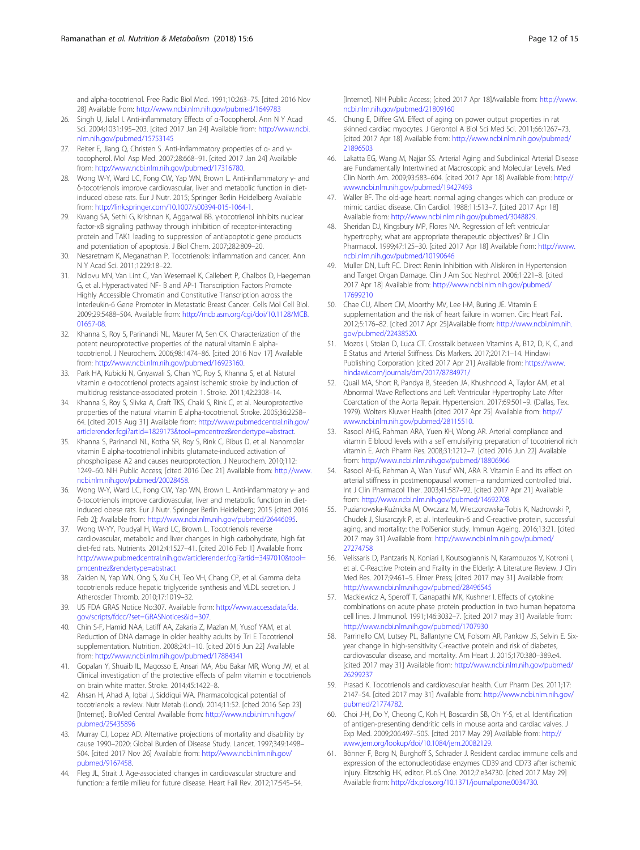<span id="page-11-0"></span>and alpha-tocotrienol. Free Radic Biol Med. 1991;10:263–75. [cited 2016 Nov 28] Available from: <http://www.ncbi.nlm.nih.gov/pubmed/1649783>

- 26. Singh U, Jialal I. Anti-inflammatory Effects of α-Tocopherol. Ann N Y Acad Sci. 2004;1031:195–203. [cited 2017 Jan 24] Available from: [http://www.ncbi.](http://www.ncbi.nlm.nih.gov/pubmed/15753145) [nlm.nih.gov/pubmed/15753145](http://www.ncbi.nlm.nih.gov/pubmed/15753145)
- 27. Reiter E, Jiang Q, Christen S. Anti-inflammatory properties of α- and γtocopherol. Mol Asp Med. 2007;28:668–91. [cited 2017 Jan 24] Available from: <http://www.ncbi.nlm.nih.gov/pubmed/17316780>.
- 28. Wong W-Y, Ward LC, Fong CW, Yap WN, Brown L. Anti-inflammatory γ- and δ-tocotrienols improve cardiovascular, liver and metabolic function in dietinduced obese rats. Eur J Nutr. 2015; Springer Berlin Heidelberg Available from: <http://link.springer.com/10.1007/s00394-015-1064-1>.
- 29. Kwang SA, Sethi G, Krishnan K, Aggarwal BB. γ-tocotrienol inhibits nuclear factor-κB signaling pathway through inhibition of receptor-interacting protein and TAK1 leading to suppression of antiapoptotic gene products and potentiation of apoptosis. J Biol Chem. 2007;282:809–20.
- 30. Nesaretnam K, Meganathan P. Tocotrienols: inflammation and cancer. Ann N Y Acad Sci. 2011;1229:18–22.
- 31. Ndlovu MN, Van Lint C, Van Wesemael K, Callebert P, Chalbos D, Haegeman G, et al. Hyperactivated NF- B and AP-1 Transcription Factors Promote Highly Accessible Chromatin and Constitutive Transcription across the Interleukin-6 Gene Promoter in Metastatic Breast Cancer. Cells Mol Cell Biol. 2009;29:5488–504. Available from: [http://mcb.asm.org/cgi/doi/10.1128/MCB.](http://mcb.asm.org/cgi/doi/10.1128/MCB.01657-08) [01657-08.](http://mcb.asm.org/cgi/doi/10.1128/MCB.01657-08)
- 32. Khanna S, Roy S, Parinandi NL, Maurer M, Sen CK. Characterization of the potent neuroprotective properties of the natural vitamin E alphatocotrienol. J Neurochem. 2006;98:1474–86. [cited 2016 Nov 17] Available from: <http://www.ncbi.nlm.nih.gov/pubmed/16923160>.
- 33. Park HA, Kubicki N, Gnyawali S, Chan YC, Roy S, Khanna S, et al. Natural vitamin e α-tocotrienol protects against ischemic stroke by induction of multidrug resistance-associated protein 1. Stroke. 2011;42:2308–14.
- 34. Khanna S, Roy S, Slivka A, Craft TKS, Chaki S, Rink C, et al. Neuroprotective properties of the natural vitamin E alpha-tocotrienol. Stroke. 2005;36:2258– 64. [cited 2015 Aug 31] Available from: [http://www.pubmedcentral.nih.gov/](http://www.pubmedcentral.nih.gov/articlerender.fcgi?artid=1829173&tool=pmcentrez&rendertype=abstract) [articlerender.fcgi?artid=1829173&tool=pmcentrez&rendertype=abstract.](http://www.pubmedcentral.nih.gov/articlerender.fcgi?artid=1829173&tool=pmcentrez&rendertype=abstract)
- 35. Khanna S, Parinandi NL, Kotha SR, Roy S, Rink C, Bibus D, et al. Nanomolar vitamin E alpha-tocotrienol inhibits glutamate-induced activation of phospholipase A2 and causes neuroprotection. J Neurochem. 2010;112: 1249–60. NIH Public Access; [cited 2016 Dec 21] Available from: [http://www.](http://www.ncbi.nlm.nih.gov/pubmed/20028458) [ncbi.nlm.nih.gov/pubmed/20028458](http://www.ncbi.nlm.nih.gov/pubmed/20028458).
- 36. Wong W-Y, Ward LC, Fong CW, Yap WN, Brown L. Anti-inflammatory γ- and δ-tocotrienols improve cardiovascular, liver and metabolic function in dietinduced obese rats. Eur J Nutr. Springer Berlin Heidelberg; 2015 [cited 2016 Feb 2]; Available from: <http://www.ncbi.nlm.nih.gov/pubmed/26446095>.
- 37. Wong W-YY, Poudyal H, Ward LC, Brown L. Tocotrienols reverse cardiovascular, metabolic and liver changes in high carbohydrate, high fat diet-fed rats. Nutrients. 2012;4:1527–41. [cited 2016 Feb 1] Available from: [http://www.pubmedcentral.nih.gov/articlerender.fcgi?artid=3497010&tool=](http://www.pubmedcentral.nih.gov/articlerender.fcgi?artid=3497010&tool=pmcentrez&rendertype=abstract) [pmcentrez&rendertype=abstract](http://www.pubmedcentral.nih.gov/articlerender.fcgi?artid=3497010&tool=pmcentrez&rendertype=abstract)
- 38. Zaiden N, Yap WN, Ong S, Xu CH, Teo VH, Chang CP, et al. Gamma delta tocotrienols reduce hepatic triglyceride synthesis and VLDL secretion. J Atheroscler Thromb. 2010;17:1019–32.
- 39. US FDA GRAS Notice No:307. Available from: [http://www.accessdata.fda.](http://www.accessdata.fda.gov/scripts/fdcc/?set=GRASNotices&id=307) [gov/scripts/fdcc/?set=GRASNotices&id=307.](http://www.accessdata.fda.gov/scripts/fdcc/?set=GRASNotices&id=307)
- 40. Chin S-F, Hamid NAA, Latiff AA, Zakaria Z, Mazlan M, Yusof YAM, et al. Reduction of DNA damage in older healthy adults by Tri E Tocotrienol supplementation. Nutrition. 2008;24:1–10. [cited 2016 Jun 22] Available from: <http://www.ncbi.nlm.nih.gov/pubmed/17884341>
- 41. Gopalan Y, Shuaib IL, Magosso E, Ansari MA, Abu Bakar MR, Wong JW, et al. Clinical investigation of the protective effects of palm vitamin e tocotrienols on brain white matter. Stroke. 2014;45:1422–8.
- 42. Ahsan H, Ahad A, Iqbal J, Siddiqui WA. Pharmacological potential of tocotrienols: a review. Nutr Metab (Lond). 2014;11:52. [cited 2016 Sep 23] [Internet]. BioMed Central Available from: [http://www.ncbi.nlm.nih.gov/](http://www.ncbi.nlm.nih.gov/pubmed/25435896) [pubmed/25435896](http://www.ncbi.nlm.nih.gov/pubmed/25435896)
- 43. Murray CJ, Lopez AD. Alternative projections of mortality and disability by cause 1990–2020: Global Burden of Disease Study. Lancet. 1997;349:1498– 504. [cited 2017 Nov 26] Available from: [http://www.ncbi.nlm.nih.gov/](http://www.ncbi.nlm.nih.gov/pubmed/9167458) [pubmed/9167458.](http://www.ncbi.nlm.nih.gov/pubmed/9167458)
- 44. Fleg JL, Strait J. Age-associated changes in cardiovascular structure and function: a fertile milieu for future disease. Heart Fail Rev. 2012;17:545–54.

[Internet]. NIH Public Access; [cited 2017 Apr 18]Available from: [http://www.](http://www.ncbi.nlm.nih.gov/pubmed/21809160) [ncbi.nlm.nih.gov/pubmed/21809160](http://www.ncbi.nlm.nih.gov/pubmed/21809160)

- 45. Chung E, Diffee GM. Effect of aging on power output properties in rat skinned cardiac myocytes. J Gerontol A Biol Sci Med Sci. 2011;66:1267–73. [cited 2017 Apr 18] Available from: [http://www.ncbi.nlm.nih.gov/pubmed/](http://www.ncbi.nlm.nih.gov/pubmed/21896503) [21896503](http://www.ncbi.nlm.nih.gov/pubmed/21896503)
- 46. Lakatta EG, Wang M, Najjar SS. Arterial Aging and Subclinical Arterial Disease are Fundamentally Intertwined at Macroscopic and Molecular Levels. Med Clin North Am. 2009;93:583–604. [cited 2017 Apr 18] Available from: [http://](http://www.ncbi.nlm.nih.gov/pubmed/19427493) [www.ncbi.nlm.nih.gov/pubmed/19427493](http://www.ncbi.nlm.nih.gov/pubmed/19427493)
- 47. Waller BF. The old-age heart: normal aging changes which can produce or mimic cardiac disease. Clin Cardiol. 1988;11:513–7. [cited 2017 Apr 18] Available from: [http://www.ncbi.nlm.nih.gov/pubmed/3048829.](http://www.ncbi.nlm.nih.gov/pubmed/3048829)
- 48. Sheridan DJ, Kingsbury MP, Flores NA. Regression of left ventricular hypertrophy; what are appropriate therapeutic objectives? Br J Clin Pharmacol. 1999;47:125–30. [cited 2017 Apr 18] Available from: [http://www.](http://www.ncbi.nlm.nih.gov/pubmed/10190646) [ncbi.nlm.nih.gov/pubmed/10190646](http://www.ncbi.nlm.nih.gov/pubmed/10190646)
- 49. Muller DN, Luft FC. Direct Renin Inhibition with Aliskiren in Hypertension and Target Organ Damage. Clin J Am Soc Nephrol. 2006;1:221–8. [cited 2017 Apr 18] Available from: [http://www.ncbi.nlm.nih.gov/pubmed/](http://www.ncbi.nlm.nih.gov/pubmed/17699210) [17699210](http://www.ncbi.nlm.nih.gov/pubmed/17699210)
- 50. Chae CU, Albert CM, Moorthy MV, Lee I-M, Buring JE. Vitamin E supplementation and the risk of heart failure in women. Circ Heart Fail. 2012;5:176–82. [cited 2017 Apr 25]Available from: [http://www.ncbi.nlm.nih.](http://www.ncbi.nlm.nih.gov/pubmed/22438520) [gov/pubmed/22438520](http://www.ncbi.nlm.nih.gov/pubmed/22438520).
- 51. Mozos I, Stoian D, Luca CT. Crosstalk between Vitamins A, B12, D, K, C, and E Status and Arterial Stiffness. Dis Markers. 2017;2017:1–14. Hindawi Publishing Corporation [cited 2017 Apr 21] Available from: [https://www.](https://www.hindawi.com/journals/dm/2017/8784971/) [hindawi.com/journals/dm/2017/8784971/](https://www.hindawi.com/journals/dm/2017/8784971/)
- 52. Quail MA, Short R, Pandya B, Steeden JA, Khushnood A, Taylor AM, et al. Abnormal Wave Reflections and Left Ventricular Hypertrophy Late After Coarctation of the Aorta Repair. Hypertension. 2017;69:501–9. (Dallas, Tex. 1979). Wolters Kluwer Health [cited 2017 Apr 25] Available from: [http://](http://www.ncbi.nlm.nih.gov/pubmed/28115510) [www.ncbi.nlm.nih.gov/pubmed/28115510.](http://www.ncbi.nlm.nih.gov/pubmed/28115510)
- 53. Rasool AHG, Rahman ARA, Yuen KH, Wong AR. Arterial compliance and vitamin E blood levels with a self emulsifying preparation of tocotrienol rich vitamin E. Arch Pharm Res. 2008;31:1212–7. [cited 2016 Jun 22] Available from: <http://www.ncbi.nlm.nih.gov/pubmed/18806966>
- 54. Rasool AHG, Rehman A, Wan Yusuf WN, ARA R. Vitamin E and its effect on arterial stiffness in postmenopausal women–a randomized controlled trial. Int J Clin Pharmacol Ther. 2003;41:587–92. [cited 2017 Apr 21] Available from: <http://www.ncbi.nlm.nih.gov/pubmed/14692708>
- 55. Puzianowska-Kuźnicka M, Owczarz M, Wieczorowska-Tobis K, Nadrowski P, Chudek J, Slusarczyk P, et al. Interleukin-6 and C-reactive protein, successful aging, and mortality: the PolSenior study. Immun Ageing. 2016;13:21. [cited 2017 may 31] Available from: [http://www.ncbi.nlm.nih.gov/pubmed/](http://www.ncbi.nlm.nih.gov/pubmed/27274758) [27274758](http://www.ncbi.nlm.nih.gov/pubmed/27274758)
- 56. Velissaris D, Pantzaris N, Koniari I, Koutsogiannis N, Karamouzos V, Kotroni I, et al. C-Reactive Protein and Frailty in the Elderly: A Literature Review. J Clin Med Res. 2017;9:461–5. Elmer Press; [cited 2017 may 31] Available from: <http://www.ncbi.nlm.nih.gov/pubmed/28496545>
- 57. Mackiewicz A, Speroff T, Ganapathi MK, Kushner I. Effects of cytokine combinations on acute phase protein production in two human hepatoma cell lines. J Immunol. 1991;146:3032–7. [cited 2017 may 31] Available from: <http://www.ncbi.nlm.nih.gov/pubmed/1707930>
- 58. Parrinello CM, Lutsey PL, Ballantyne CM, Folsom AR, Pankow JS, Selvin E. Sixyear change in high-sensitivity C-reactive protein and risk of diabetes, cardiovascular disease, and mortality. Am Heart J. 2015;170:380–389.e4. [cited 2017 may 31] Available from: [http://www.ncbi.nlm.nih.gov/pubmed/](http://www.ncbi.nlm.nih.gov/pubmed/26299237) [26299237](http://www.ncbi.nlm.nih.gov/pubmed/26299237)
- 59. Prasad K. Tocotrienols and cardiovascular health. Curr Pharm Des. 2011;17: 2147–54. [cited 2017 may 31] Available from: [http://www.ncbi.nlm.nih.gov/](http://www.ncbi.nlm.nih.gov/pubmed/21774782) [pubmed/21774782.](http://www.ncbi.nlm.nih.gov/pubmed/21774782)
- 60. Choi J-H, Do Y, Cheong C, Koh H, Boscardin SB, Oh Y-S, et al. Identification of antigen-presenting dendritic cells in mouse aorta and cardiac valves. J Exp Med. 2009;206:497–505. [cited 2017 May 29] Available from: [http://](http://www.jem.org/lookup/doi/10.1084/jem.20082129) [www.jem.org/lookup/doi/10.1084/jem.20082129](http://www.jem.org/lookup/doi/10.1084/jem.20082129).
- 61. Bönner F, Borg N, Burghoff S, Schrader J. Resident cardiac immune cells and expression of the ectonucleotidase enzymes CD39 and CD73 after ischemic injury. Eltzschig HK, editor. PLoS One. 2012;7:e34730. [cited 2017 May 29] Available from: <http://dx.plos.org/10.1371/journal.pone.0034730>.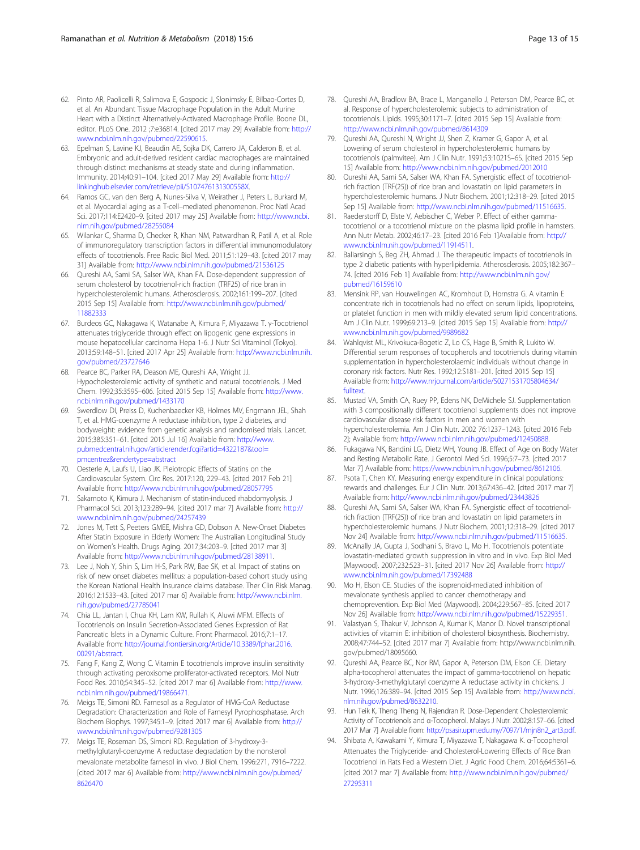- <span id="page-12-0"></span>62. Pinto AR, Paolicelli R, Salimova E, Gospocic J, Slonimsky E, Bilbao-Cortes D, et al. An Abundant Tissue Macrophage Population in the Adult Murine Heart with a Distinct Alternatively-Activated Macrophage Profile. Boone DL, editor. PLoS One. 2012 ;7:e36814. [cited 2017 may 29] Available from: [http://](http://www.ncbi.nlm.nih.gov/pubmed/22590615) [www.ncbi.nlm.nih.gov/pubmed/22590615.](http://www.ncbi.nlm.nih.gov/pubmed/22590615)
- 63. Epelman S, Lavine KJ, Beaudin AE, Sojka DK, Carrero JA, Calderon B, et al. Embryonic and adult-derived resident cardiac macrophages are maintained through distinct mechanisms at steady state and during inflammation. Immunity. 2014;40:91–104. [cited 2017 May 29] Available from: [http://](http://linkinghub.elsevier.com/retrieve/pii/S107476131300558X) [linkinghub.elsevier.com/retrieve/pii/S107476131300558X.](http://linkinghub.elsevier.com/retrieve/pii/S107476131300558X)
- 64. Ramos GC, van den Berg A, Nunes-Silva V, Weirather J, Peters L, Burkard M, et al. Myocardial aging as a T-cell–mediated phenomenon. Proc Natl Acad Sci. 2017;114:E2420–9. [cited 2017 may 25] Available from: [http://www.ncbi.](http://www.ncbi.nlm.nih.gov/pubmed/28255084) [nlm.nih.gov/pubmed/28255084](http://www.ncbi.nlm.nih.gov/pubmed/28255084)
- 65. Wilankar C, Sharma D, Checker R, Khan NM, Patwardhan R, Patil A, et al. Role of immunoregulatory transcription factors in differential immunomodulatory effects of tocotrienols. Free Radic Biol Med. 2011;51:129–43. [cited 2017 may 31] Available from: <http://www.ncbi.nlm.nih.gov/pubmed/21536125>
- 66. Qureshi AA, Sami SA, Salser WA, Khan FA. Dose-dependent suppression of serum cholesterol by tocotrienol-rich fraction (TRF25) of rice bran in hypercholesterolemic humans. Atherosclerosis. 2002;161:199–207. [cited 2015 Sep 15] Available from: [http://www.ncbi.nlm.nih.gov/pubmed/](http://www.ncbi.nlm.nih.gov/pubmed/11882333) [11882333](http://www.ncbi.nlm.nih.gov/pubmed/11882333)
- 67. Burdeos GC, Nakagawa K, Watanabe A, Kimura F, Miyazawa T. γ-Tocotrienol attenuates triglyceride through effect on lipogenic gene expressions in mouse hepatocellular carcinoma Hepa 1-6. J Nutr Sci Vitaminol (Tokyo). 2013;59:148–51. [cited 2017 Apr 25] Available from: [http://www.ncbi.nlm.nih.](http://www.ncbi.nlm.nih.gov/pubmed/23727646) [gov/pubmed/23727646](http://www.ncbi.nlm.nih.gov/pubmed/23727646)
- 68. Pearce BC, Parker RA, Deason ME, Qureshi AA, Wright JJ. Hypocholesterolemic activity of synthetic and natural tocotrienols. J Med Chem. 1992;35:3595–606. [cited 2015 Sep 15] Available from: [http://www.](http://www.ncbi.nlm.nih.gov/pubmed/1433170) [ncbi.nlm.nih.gov/pubmed/1433170](http://www.ncbi.nlm.nih.gov/pubmed/1433170)
- 69. Swerdlow DI, Preiss D, Kuchenbaecker KB, Holmes MV, Engmann JEL, Shah T, et al. HMG-coenzyme A reductase inhibition, type 2 diabetes, and bodyweight: evidence from genetic analysis and randomised trials. Lancet. 2015;385:351–61. [cited 2015 Jul 16] Available from: [http://www.](http://www.pubmedcentral.nih.gov/articlerender.fcgi?artid=4322187&tool=pmcentrez&rendertype=abstract) [pubmedcentral.nih.gov/articlerender.fcgi?artid=4322187&tool=](http://www.pubmedcentral.nih.gov/articlerender.fcgi?artid=4322187&tool=pmcentrez&rendertype=abstract) [pmcentrez&rendertype=abstract](http://www.pubmedcentral.nih.gov/articlerender.fcgi?artid=4322187&tool=pmcentrez&rendertype=abstract)
- 70. Oesterle A, Laufs U, Liao JK. Pleiotropic Effects of Statins on the Cardiovascular System. Circ Res. 2017:120, 229–43. [cited 2017 Feb 21] Available from: <http://www.ncbi.nlm.nih.gov/pubmed/28057795>
- 71. Sakamoto K, Kimura J. Mechanism of statin-induced rhabdomyolysis. J Pharmacol Sci. 2013;123:289–94. [cited 2017 mar 7] Available from: [http://](http://www.ncbi.nlm.nih.gov/pubmed/24257439) [www.ncbi.nlm.nih.gov/pubmed/24257439](http://www.ncbi.nlm.nih.gov/pubmed/24257439)
- 72. Jones M, Tett S, Peeters GMEE, Mishra GD, Dobson A. New-Onset Diabetes After Statin Exposure in Elderly Women: The Australian Longitudinal Study on Women's Health. Drugs Aging. 2017;34:203–9. [cited 2017 mar 3] Available from: <http://www.ncbi.nlm.nih.gov/pubmed/28138911>.
- 73. Lee J, Noh Y, Shin S, Lim H-S, Park RW, Bae SK, et al. Impact of statins on risk of new onset diabetes mellitus: a population-based cohort study using the Korean National Health Insurance claims database. Ther Clin Risk Manag. 2016;12:1533–43. [cited 2017 mar 6] Available from: [http://www.ncbi.nlm.](http://www.ncbi.nlm.nih.gov/pubmed/27785041) [nih.gov/pubmed/27785041](http://www.ncbi.nlm.nih.gov/pubmed/27785041)
- 74. Chia LL, Jantan I, Chua KH, Lam KW, Rullah K, Aluwi MFM. Effects of Tocotrienols on Insulin Secretion-Associated Genes Expression of Rat Pancreatic Islets in a Dynamic Culture. Front Pharmacol. 2016;7:1–17. Available from: [http://journal.frontiersin.org/Article/10.3389/fphar.2016.](http://journal.frontiersin.org/Article/10.3389/fphar.2016.00291/abstract) [00291/abstract.](http://journal.frontiersin.org/Article/10.3389/fphar.2016.00291/abstract)
- 75. Fang F, Kang Z, Wong C. Vitamin E tocotrienols improve insulin sensitivity through activating peroxisome proliferator-activated receptors. Mol Nutr Food Res. 2010;54:345–52. [cited 2017 mar 6] Available from: [http://www.](http://www.ncbi.nlm.nih.gov/pubmed/19866471) [ncbi.nlm.nih.gov/pubmed/19866471](http://www.ncbi.nlm.nih.gov/pubmed/19866471).
- 76. Meigs TE, Simoni RD. Farnesol as a Regulator of HMG-CoA Reductase Degradation: Characterization and Role of Farnesyl Pyrophosphatase. Arch Biochem Biophys. 1997;345:1–9. [cited 2017 mar 6] Available from: [http://](http://www.ncbi.nlm.nih.gov/pubmed/9281305) [www.ncbi.nlm.nih.gov/pubmed/9281305](http://www.ncbi.nlm.nih.gov/pubmed/9281305)
- 77. Meigs TE, Roseman DS, Simoni RD. Regulation of 3-hydroxy-3 methylglutaryl-coenzyme A reductase degradation by the nonsterol mevalonate metabolite farnesol in vivo. J Biol Chem. 1996:271, 7916–7222. [cited 2017 mar 6] Available from: [http://www.ncbi.nlm.nih.gov/pubmed/](http://www.ncbi.nlm.nih.gov/pubmed/8626470) [8626470](http://www.ncbi.nlm.nih.gov/pubmed/8626470)
- 78. Qureshi AA, Bradlow BA, Brace L, Manganello J, Peterson DM, Pearce BC, et al. Response of hypercholesterolemic subjects to administration of tocotrienols. Lipids. 1995;30:1171–7. [cited 2015 Sep 15] Available from: <http://www.ncbi.nlm.nih.gov/pubmed/8614309>
- 79. Qureshi AA, Qureshi N, Wright JJ, Shen Z, Kramer G, Gapor A, et al. Lowering of serum cholesterol in hypercholesterolemic humans by tocotrienols (palmvitee). Am J Clin Nutr. 1991;53:1021S–6S. [cited 2015 Sep 15] Available from: <http://www.ncbi.nlm.nih.gov/pubmed/2012010>
- 80. Qureshi AA, Sami SA, Salser WA, Khan FA. Synergistic effect of tocotrienolrich fraction (TRF(25)) of rice bran and lovastatin on lipid parameters in hypercholesterolemic humans. J Nutr Biochem. 2001;12:318–29. [cited 2015 Sep 15] Available from: [http://www.ncbi.nlm.nih.gov/pubmed/11516635.](http://www.ncbi.nlm.nih.gov/pubmed/11516635)
- 81. Raederstorff D, Elste V, Aebischer C, Weber P. Effect of either gammatocotrienol or a tocotrienol mixture on the plasma lipid profile in hamsters. Ann Nutr Metab. 2002;46:17–23. [cited 2016 Feb 1]Available from: [http://](http://www.ncbi.nlm.nih.gov/pubmed/11914511) [www.ncbi.nlm.nih.gov/pubmed/11914511.](http://www.ncbi.nlm.nih.gov/pubmed/11914511)
- 82. Baliarsingh S, Beg ZH, Ahmad J. The therapeutic impacts of tocotrienols in type 2 diabetic patients with hyperlipidemia. Atherosclerosis. 2005;182:367– 74. [cited 2016 Feb 1] Available from: [http://www.ncbi.nlm.nih.gov/](http://www.ncbi.nlm.nih.gov/pubmed/16159610) [pubmed/16159610](http://www.ncbi.nlm.nih.gov/pubmed/16159610)
- 83. Mensink RP, van Houwelingen AC, Kromhout D, Hornstra G. A vitamin E concentrate rich in tocotrienols had no effect on serum lipids, lipoproteins, or platelet function in men with mildly elevated serum lipid concentrations. Am J Clin Nutr. 1999;69:213–9. [cited 2015 Sep 15] Available from: [http://](http://www.ncbi.nlm.nih.gov/pubmed/9989682) [www.ncbi.nlm.nih.gov/pubmed/9989682](http://www.ncbi.nlm.nih.gov/pubmed/9989682)
- 84. Wahlqvist ML, Krivokuca-Bogetic Z, Lo CS, Hage B, Smith R, Lukito W. Differential serum responses of tocopherols and tocotrienols during vitamin supplementation in hypercholesterolaemic individuals without change in coronary risk factors. Nutr Res. 1992;12:S181–201. [cited 2015 Sep 15] Available from: [http://www.nrjournal.com/article/S0271531705804634/](http://www.nrjournal.com/article/S0271531705804634/fulltext) [fulltext](http://www.nrjournal.com/article/S0271531705804634/fulltext).
- 85. Mustad VA, Smith CA, Ruey PP, Edens NK, DeMichele SJ. Supplementation with 3 compositionally different tocotrienol supplements does not improve cardiovascular disease risk factors in men and women with hypercholesterolemia. Am J Clin Nutr. 2002 76:1237–1243. [cited 2016 Feb 2]; Available from: [http://www.ncbi.nlm.nih.gov/pubmed/12450888.](http://www.ncbi.nlm.nih.gov/pubmed/12450888)
- 86. Fukagawa NK, Bandini LG, Dietz WH, Young JB. Effect of Age on Body Water and Resting Metabolic Rate. J Gerontol Med Sci. 1996;5:7–73. [cited 2017 Mar 7] Available from: [https://www.ncbi.nlm.nih.gov/pubmed/8612106.](https://www.ncbi.nlm.nih.gov/pubmed/8612106)
- 87. Psota T, Chen KY. Measuring energy expenditure in clinical populations: rewards and challenges. Eur J Clin Nutr. 2013;67:436–42. [cited 2017 mar 7] Available from: <http://www.ncbi.nlm.nih.gov/pubmed/23443826>
- Qureshi AA, Sami SA, Salser WA, Khan FA. Synergistic effect of tocotrienolrich fraction (TRF(25)) of rice bran and lovastatin on lipid parameters in hypercholesterolemic humans. J Nutr Biochem. 2001;12:318–29. [cited 2017 Nov 24] Available from: [http://www.ncbi.nlm.nih.gov/pubmed/11516635.](http://www.ncbi.nlm.nih.gov/pubmed/11516635)
- 89. McAnally JA, Gupta J, Sodhani S, Bravo L, Mo H. Tocotrienols potentiate lovastatin-mediated growth suppression in vitro and in vivo. Exp Biol Med (Maywood). 2007;232:523–31. [cited 2017 Nov 26] Available from: [http://](http://www.ncbi.nlm.nih.gov/pubmed/17392488) [www.ncbi.nlm.nih.gov/pubmed/17392488](http://www.ncbi.nlm.nih.gov/pubmed/17392488)
- 90. Mo H, Elson CE. Studies of the isoprenoid-mediated inhibition of mevalonate synthesis applied to cancer chemotherapy and chemoprevention. Exp Biol Med (Maywood). 2004;229:567–85. [cited 2017 Nov 26] Available from: [http://www.ncbi.nlm.nih.gov/pubmed/15229351.](http://www.ncbi.nlm.nih.gov/pubmed/15229351)
- 91. Valastyan S, Thakur V, Johnson A, Kumar K, Manor D. Novel transcriptional activities of vitamin E: inhibition of cholesterol biosynthesis. Biochemistry. 2008;47:744–52. [cited 2017 mar 7] Available from: http://www.ncbi.nlm.nih. gov/pubmed/18095660.
- 92. Qureshi AA, Pearce BC, Nor RM, Gapor A, Peterson DM, Elson CE. Dietary alpha-tocopherol attenuates the impact of gamma-tocotrienol on hepatic 3-hydroxy-3-methylglutaryl coenzyme A reductase activity in chickens. J Nutr. 1996;126:389–94. [cited 2015 Sep 15] Available from: [http://www.ncbi.](http://www.ncbi.nlm.nih.gov/pubmed/8632210) [nlm.nih.gov/pubmed/8632210](http://www.ncbi.nlm.nih.gov/pubmed/8632210).
- 93. Hun Teik K, Theng Theng N, Rajendran R. Dose-Dependent Cholesterolemic Activity of Tocotrienols and α-Tocopherol. Malays J Nutr. 2002;8:157–66. [cited 2017 Mar 7] Available from: [http://psasir.upm.edu.my/7097/1/mjn8n2\\_art3.pdf.](http://psasir.upm.edu.my/7097/1/mjn8n2_art3.pdf)
- 94. Shibata A, Kawakami Y, Kimura T, Miyazawa T, Nakagawa K. α-Tocopherol Attenuates the Triglyceride- and Cholesterol-Lowering Effects of Rice Bran Tocotrienol in Rats Fed a Western Diet. J Agric Food Chem. 2016;64:5361–6. [cited 2017 mar 7] Available from: [http://www.ncbi.nlm.nih.gov/pubmed/](http://www.ncbi.nlm.nih.gov/pubmed/27295311) [27295311](http://www.ncbi.nlm.nih.gov/pubmed/27295311)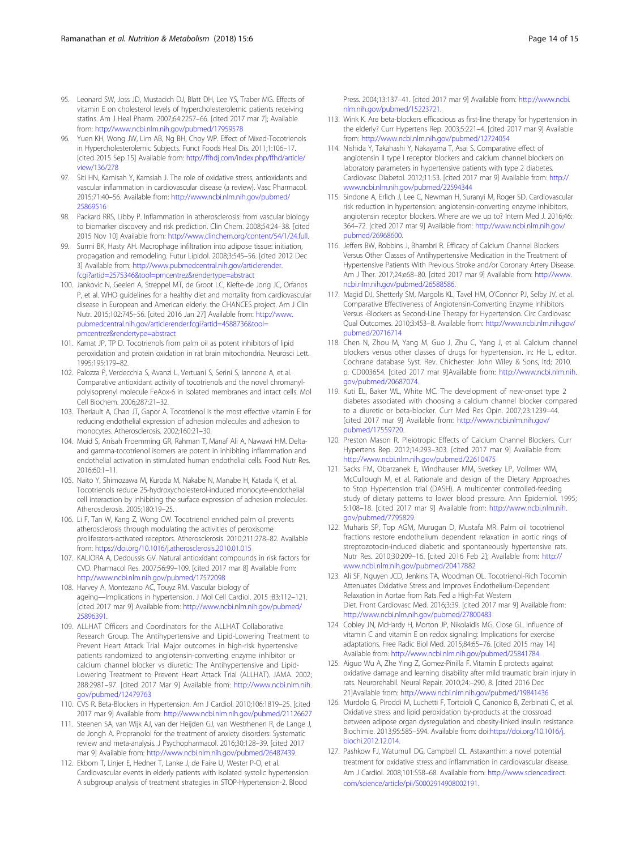- <span id="page-13-0"></span>95. Leonard SW, Joss JD, Mustacich DJ, Blatt DH, Lee YS, Traber MG. Effects of vitamin E on cholesterol levels of hypercholesterolemic patients receiving statins. Am J Heal Pharm. 2007;64:2257–66. [cited 2017 mar 7]; Available from: <http://www.ncbi.nlm.nih.gov/pubmed/17959578>
- 96. Yuen KH, Wong JW, Lim AB, Ng BH, Choy WP. Effect of Mixed-Tocotrienols in Hypercholesterolemic Subjects. Funct Foods Heal Dis. 2011;1:106–17. [cited 2015 Sep 15] Available from: [http://ffhdj.com/index.php/ffhd/article/](http://ffhdj.com/index.php/ffhd/article/view/136/278) [view/136/278](http://ffhdj.com/index.php/ffhd/article/view/136/278)
- 97. Siti HN, Kamisah Y, Kamsiah J. The role of oxidative stress, antioxidants and vascular inflammation in cardiovascular disease (a review). Vasc Pharmacol. 2015;71:40–56. Available from: [http://www.ncbi.nlm.nih.gov/pubmed/](http://www.ncbi.nlm.nih.gov/pubmed/25869516) [25869516](http://www.ncbi.nlm.nih.gov/pubmed/25869516)
- 98. Packard RRS, Libby P. Inflammation in atherosclerosis: from vascular biology to biomarker discovery and risk prediction. Clin Chem. 2008;54:24–38. [cited 2015 Nov 10] Available from: [http://www.clinchem.org/content/54/1/24.full.](http://www.clinchem.org/content/54/1/24.full)
- 99. Surmi BK, Hasty AH. Macrophage infiltration into adipose tissue: initiation, propagation and remodeling. Futur Lipidol. 2008;3:545–56. [cited 2012 Dec 3] Available from: [http://www.pubmedcentral.nih.gov/articlerender.](http://www.pubmedcentral.nih.gov/articlerender.fcgi?artid=2575346&tool=pmcentrez&rendertype=abstract) [fcgi?artid=2575346&tool=pmcentrez&rendertype=abstract](http://www.pubmedcentral.nih.gov/articlerender.fcgi?artid=2575346&tool=pmcentrez&rendertype=abstract)
- 100. Jankovic N, Geelen A, Streppel MT, de Groot LC, Kiefte-de Jong JC, Orfanos P, et al. WHO guidelines for a healthy diet and mortality from cardiovascular disease in European and American elderly: the CHANCES project. Am J Clin Nutr. 2015;102:745–56. [cited 2016 Jan 27] Available from: [http://www.](http://www.pubmedcentral.nih.gov/articlerender.fcgi?artid=4588736&tool=pmcentrez&rendertype=abstract) [pubmedcentral.nih.gov/articlerender.fcgi?artid=4588736&tool=](http://www.pubmedcentral.nih.gov/articlerender.fcgi?artid=4588736&tool=pmcentrez&rendertype=abstract) [pmcentrez&rendertype=abstract](http://www.pubmedcentral.nih.gov/articlerender.fcgi?artid=4588736&tool=pmcentrez&rendertype=abstract)
- 101. Kamat JP, TP D. Tocotrienols from palm oil as potent inhibitors of lipid peroxidation and protein oxidation in rat brain mitochondria. Neurosci Lett. 1995;195:179–82.
- 102. Palozza P, Verdecchia S, Avanzi L, Vertuani S, Serini S, Iannone A, et al. Comparative antioxidant activity of tocotrienols and the novel chromanylpolyisoprenyl molecule FeAox-6 in isolated membranes and intact cells. Mol Cell Biochem. 2006;287:21–32.
- 103. Theriault A, Chao JT, Gapor A. Tocotrienol is the most effective vitamin E for reducing endothelial expression of adhesion molecules and adhesion to monocytes. Atherosclerosis. 2002;160:21–30.
- 104. Muid S, Anisah Froemming GR, Rahman T, Manaf Ali A, Nawawi HM. Deltaand gamma-tocotrienol isomers are potent in inhibiting inflammation and endothelial activation in stimulated human endothelial cells. Food Nutr Res. 2016;60:1–11.
- 105. Naito Y, Shimozawa M, Kuroda M, Nakabe N, Manabe H, Katada K, et al. Tocotrienols reduce 25-hydroxycholesterol-induced monocyte-endothelial cell interaction by inhibiting the surface expression of adhesion molecules. Atherosclerosis. 2005;180:19–25.
- 106. Li F, Tan W, Kang Z, Wong CW. Tocotrienol enriched palm oil prevents atherosclerosis through modulating the activities of peroxisome proliferators-activated receptors. Atherosclerosis. 2010;211:278–82. Available from: [https://doi.org/10.1016/j.atherosclerosis.2010.01.015](http://dx.doi.org/10.1016/j.atherosclerosis.2010.01.015)
- 107. KALIORA A, Dedoussis GV. Natural antioxidant compounds in risk factors for CVD. Pharmacol Res. 2007;56:99–109. [cited 2017 mar 8] Available from: <http://www.ncbi.nlm.nih.gov/pubmed/17572098>
- 108. Harvey A, Montezano AC, Touyz RM. Vascular biology of ageing—Implications in hypertension. J Mol Cell Cardiol. 2015 ;83:112–121. [cited 2017 mar 9] Available from: [http://www.ncbi.nlm.nih.gov/pubmed/](http://www.ncbi.nlm.nih.gov/pubmed/25896391) [25896391.](http://www.ncbi.nlm.nih.gov/pubmed/25896391)
- 109. ALLHAT Officers and Coordinators for the ALLHAT Collaborative Research Group. The Antihypertensive and Lipid-Lowering Treatment to Prevent Heart Attack Trial. Major outcomes in high-risk hypertensive patients randomized to angiotensin-converting enzyme inhibitor or calcium channel blocker vs diuretic: The Antihypertensive and Lipid-Lowering Treatment to Prevent Heart Attack Trial (ALLHAT). JAMA. 2002; 288:2981–97. [cited 2017 Mar 9] Available from: [http://www.ncbi.nlm.nih.](http://www.ncbi.nlm.nih.gov/pubmed/12479763) [gov/pubmed/12479763](http://www.ncbi.nlm.nih.gov/pubmed/12479763)
- 110. CVS R. Beta-Blockers in Hypertension. Am J Cardiol. 2010;106:1819–25. [cited 2017 mar 9] Available from: <http://www.ncbi.nlm.nih.gov/pubmed/21126627>
- 111. Steenen SA, van Wijk AJ, van der Heijden GJ, van Westrhenen R, de Lange J, de Jongh A. Propranolol for the treatment of anxiety disorders: Systematic review and meta-analysis. J Psychopharmacol. 2016;30:128–39. [cited 2017 mar 9] Available from: [http://www.ncbi.nlm.nih.gov/pubmed/26487439.](http://www.ncbi.nlm.nih.gov/pubmed/26487439)
- 112. Ekbom T, Linjer E, Hedner T, Lanke J, de Faire U, Wester P-O, et al. Cardiovascular events in elderly patients with isolated systolic hypertension. A subgroup analysis of treatment strategies in STOP-Hypertension-2. Blood

Press. 2004;13:137–41. [cited 2017 mar 9] Available from: [http://www.ncbi.](http://www.ncbi.nlm.nih.gov/pubmed/15223721) [nlm.nih.gov/pubmed/15223721.](http://www.ncbi.nlm.nih.gov/pubmed/15223721)

- 113. Wink K. Are beta-blockers efficacious as first-line therapy for hypertension in the elderly? Curr Hypertens Rep. 2003;5:221–4. [cited 2017 mar 9] Available from: <http://www.ncbi.nlm.nih.gov/pubmed/12724054>
- 114. Nishida Y, Takahashi Y, Nakayama T, Asai S. Comparative effect of angiotensin II type I receptor blockers and calcium channel blockers on laboratory parameters in hypertensive patients with type 2 diabetes. Cardiovasc Diabetol. 2012;11:53. [cited 2017 mar 9] Available from: [http://](http://www.ncbi.nlm.nih.gov/pubmed/22594344) [www.ncbi.nlm.nih.gov/pubmed/22594344](http://www.ncbi.nlm.nih.gov/pubmed/22594344)
- 115. Sindone A, Erlich J, Lee C, Newman H, Suranyi M, Roger SD. Cardiovascular risk reduction in hypertension: angiotensin-converting enzyme inhibitors, angiotensin receptor blockers. Where are we up to? Intern Med J. 2016;46: 364–72. [cited 2017 mar 9] Available from: [http://www.ncbi.nlm.nih.gov/](http://www.ncbi.nlm.nih.gov/pubmed/26968600) [pubmed/26968600.](http://www.ncbi.nlm.nih.gov/pubmed/26968600)
- 116. Jeffers BW, Robbins J, Bhambri R. Efficacy of Calcium Channel Blockers Versus Other Classes of Antihypertensive Medication in the Treatment of Hypertensive Patients With Previous Stroke and/or Coronary Artery Disease. Am J Ther. 2017;24:e68–80. [cited 2017 mar 9] Available from: [http://www.](http://www.ncbi.nlm.nih.gov/pubmed/26588586) [ncbi.nlm.nih.gov/pubmed/26588586](http://www.ncbi.nlm.nih.gov/pubmed/26588586).
- 117. Magid DJ, Shetterly SM, Margolis KL, Tavel HM, O'Connor PJ, Selby JV, et al. Comparative Effectiveness of Angiotensin-Converting Enzyme Inhibitors Versus -Blockers as Second-Line Therapy for Hypertension. Circ Cardiovasc Qual Outcomes. 2010;3:453–8. Available from: [http://www.ncbi.nlm.nih.gov/](http://www.ncbi.nlm.nih.gov/pubmed/20716714) [pubmed/20716714](http://www.ncbi.nlm.nih.gov/pubmed/20716714)
- 118. Chen N, Zhou M, Yang M, Guo J, Zhu C, Yang J, et al. Calcium channel blockers versus other classes of drugs for hypertension. In: He L, editor. Cochrane database Syst. Rev. Chichester: John Wiley & Sons, ltd; 2010. p. CD003654. [cited 2017 mar 9]Available from: [http://www.ncbi.nlm.nih.](http://www.ncbi.nlm.nih.gov/pubmed/20687074) [gov/pubmed/20687074.](http://www.ncbi.nlm.nih.gov/pubmed/20687074)
- 119. Kuti EL, Baker WL, White MC. The development of new-onset type 2 diabetes associated with choosing a calcium channel blocker compared to a diuretic or beta-blocker. Curr Med Res Opin. 2007;23:1239–44. [cited 2017 mar 9] Available from: [http://www.ncbi.nlm.nih.gov/](http://www.ncbi.nlm.nih.gov/pubmed/17559720) [pubmed/17559720](http://www.ncbi.nlm.nih.gov/pubmed/17559720).
- 120. Preston Mason R. Pleiotropic Effects of Calcium Channel Blockers. Curr Hypertens Rep. 2012;14:293–303. [cited 2017 mar 9] Available from: <http://www.ncbi.nlm.nih.gov/pubmed/22610475>
- 121. Sacks FM, Obarzanek E, Windhauser MM, Svetkey LP, Vollmer WM, McCullough M, et al. Rationale and design of the Dietary Approaches to Stop Hypertension trial (DASH). A multicenter controlled-feeding study of dietary patterns to lower blood pressure. Ann Epidemiol. 1995; 5:108–18. [cited 2017 mar 9] Available from: [http://www.ncbi.nlm.nih.](http://www.ncbi.nlm.nih.gov/pubmed/7795829) [gov/pubmed/7795829](http://www.ncbi.nlm.nih.gov/pubmed/7795829).
- 122. Muharis SP, Top AGM, Murugan D, Mustafa MR. Palm oil tocotrienol fractions restore endothelium dependent relaxation in aortic rings of streptozotocin-induced diabetic and spontaneously hypertensive rats. Nutr Res. 2010;30:209–16. [cited 2016 Feb 2]; Available from: [http://](http://www.ncbi.nlm.nih.gov/pubmed/20417882) [www.ncbi.nlm.nih.gov/pubmed/20417882](http://www.ncbi.nlm.nih.gov/pubmed/20417882)
- 123. Ali SF, Nguyen JCD, Jenkins TA, Woodman OL. Tocotrienol-Rich Tocomin Attenuates Oxidative Stress and Improves Endothelium-Dependent Relaxation in Aortae from Rats Fed a High-Fat Western Diet. Front Cardiovasc Med. 2016;3:39. [cited 2017 mar 9] Available from: <http://www.ncbi.nlm.nih.gov/pubmed/27800483>
- 124. Cobley JN, McHardy H, Morton JP, Nikolaidis MG, Close GL. Influence of vitamin C and vitamin E on redox signaling: Implications for exercise adaptations. Free Radic Biol Med. 2015;84:65–76. [cited 2015 may 14] Available from: <http://www.ncbi.nlm.nih.gov/pubmed/25841784>.
- 125. Aiguo Wu A, Zhe Ying Z, Gomez-Pinilla F. Vitamin E protects against oxidative damage and learning disability after mild traumatic brain injury in rats. Neurorehabil. Neural Repair. 2010;24:–290, 8. [cited 2016 Dec 21]Available from: <http://www.ncbi.nlm.nih.gov/pubmed/19841436>
- 126. Murdolo G, Piroddi M, Luchetti F, Tortoioli C, Canonico B, Zerbinati C, et al. Oxidative stress and lipid peroxidation by-products at the crossroad between adipose organ dysregulation and obesity-linked insulin resistance. Biochimie. 2013;95:585–594. Available from: doi:[https://doi.org/10.1016/j.](http://dx.doi.org/10.1016/j.biochi.2012.12.014) [biochi.2012.12.014.](http://dx.doi.org/10.1016/j.biochi.2012.12.014)
- 127. Pashkow FJ, Watumull DG, Campbell CL. Astaxanthin: a novel potential treatment for oxidative stress and inflammation in cardiovascular disease. Am J Cardiol. 2008;101:S58–68. Available from: [http://www.sciencedirect.](http://www.sciencedirect.com/science/article/pii/S0002914908002191) [com/science/article/pii/S0002914908002191.](http://www.sciencedirect.com/science/article/pii/S0002914908002191)